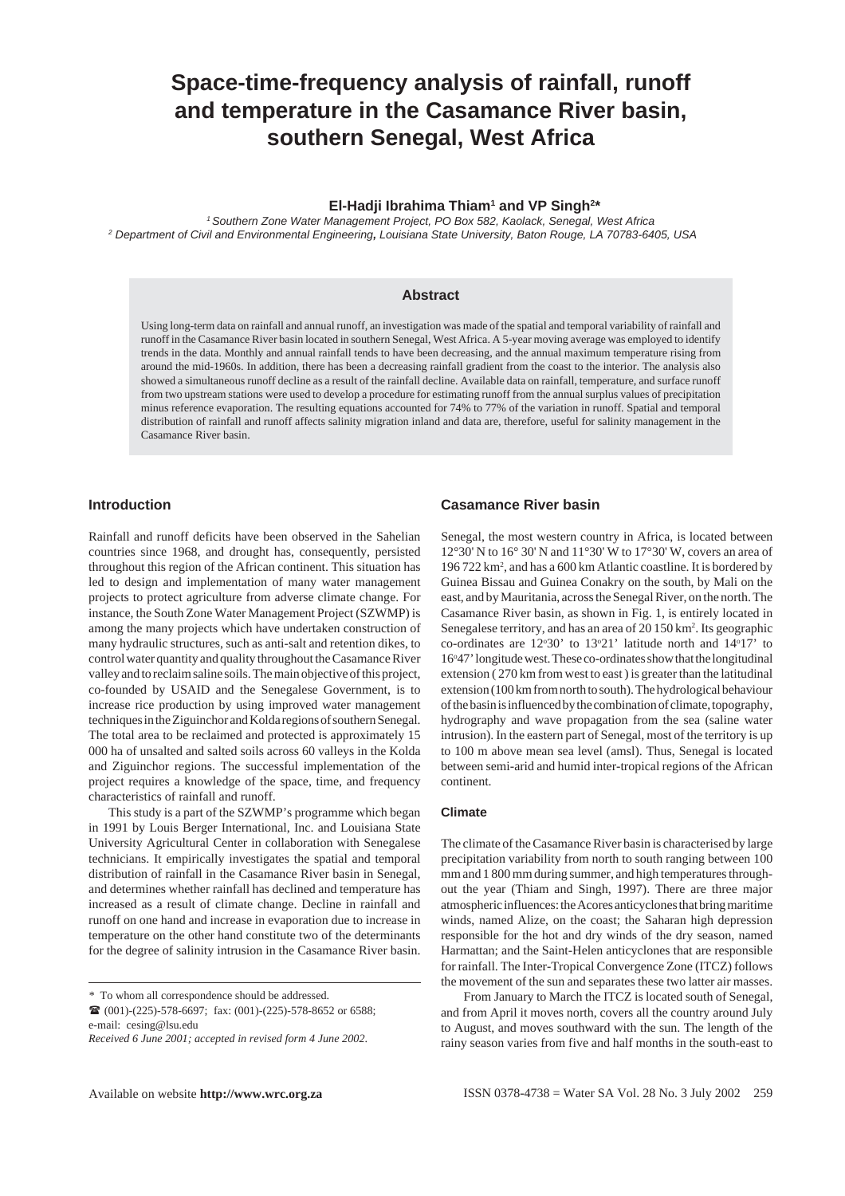# **Space-time-frequency analysis of rainfall, runoff and temperature in the Casamance River basin, southern Senegal, West Africa**

### El-Hadji Ibrahima Thiam<sup>1</sup> and VP Singh<sup>2\*</sup>

*1 Southern Zone Water Management Project, PO Box 582, Kaolack, Senegal, West Africa <sup>2</sup> Department of Civil and Environmental Engineering, Louisiana State University, Baton Rouge, LA 70783-6405, USA*

### **Abstract**

Using long-term data on rainfall and annual runoff, an investigation was made of the spatial and temporal variability of rainfall and runoff in the Casamance River basin located in southern Senegal, West Africa. A 5-year moving average was employed to identify trends in the data. Monthly and annual rainfall tends to have been decreasing, and the annual maximum temperature rising from around the mid-1960s. In addition, there has been a decreasing rainfall gradient from the coast to the interior. The analysis also showed a simultaneous runoff decline as a result of the rainfall decline. Available data on rainfall, temperature, and surface runoff from two upstream stations were used to develop a procedure for estimating runoff from the annual surplus values of precipitation minus reference evaporation. The resulting equations accounted for 74% to 77% of the variation in runoff. Spatial and temporal distribution of rainfall and runoff affects salinity migration inland and data are, therefore, useful for salinity management in the Casamance River basin.

# **Introduction**

Rainfall and runoff deficits have been observed in the Sahelian countries since 1968, and drought has, consequently, persisted throughout this region of the African continent. This situation has led to design and implementation of many water management projects to protect agriculture from adverse climate change. For instance, the South Zone Water Management Project (SZWMP) is among the many projects which have undertaken construction of many hydraulic structures, such as anti-salt and retention dikes, to control water quantity and quality throughout the Casamance River valley and to reclaim saline soils. The main objective of this project, co-founded by USAID and the Senegalese Government, is to increase rice production by using improved water management techniques in the Ziguinchor and Kolda regions of southern Senegal. The total area to be reclaimed and protected is approximately 15 000 ha of unsalted and salted soils across 60 valleys in the Kolda and Ziguinchor regions. The successful implementation of the project requires a knowledge of the space, time, and frequency characteristics of rainfall and runoff.

This study is a part of the SZWMP's programme which began in 1991 by Louis Berger International, Inc. and Louisiana State University Agricultural Center in collaboration with Senegalese technicians. It empirically investigates the spatial and temporal distribution of rainfall in the Casamance River basin in Senegal, and determines whether rainfall has declined and temperature has increased as a result of climate change. Decline in rainfall and runoff on one hand and increase in evaporation due to increase in temperature on the other hand constitute two of the determinants for the degree of salinity intrusion in the Casamance River basin.

*\** To whom all correspondence should be addressed.

*Received 6 June 2001; accepted in revised form 4 June 2002*.

### **Casamance River basin**

Senegal, the most western country in Africa, is located between 12°30' N to 16° 30' N and 11°30' W to 17°30' W, covers an area of 196 722 km<sup>2</sup>, and has a 600 km Atlantic coastline. It is bordered by Guinea Bissau and Guinea Conakry on the south, by Mali on the east, and by Mauritania, across the Senegal River, on the north. The Casamance River basin, as shown in Fig. 1, is entirely located in Senegalese territory, and has an area of 20 150 km<sup>2</sup>. Its geographic co-ordinates are 12°30' to 13°21' latitude north and 14°17' to 16°47' longitude west. These co-ordinates show that the longitudinal extension ( 270 km from west to east ) is greater than the latitudinal extension (100 km from north to south). The hydrological behaviour of the basin is influenced by the combination of climate, topography, hydrography and wave propagation from the sea (saline water intrusion). In the eastern part of Senegal, most of the territory is up to 100 m above mean sea level (amsl). Thus, Senegal is located between semi-arid and humid inter-tropical regions of the African continent.

#### **Climate**

The climate of the Casamance River basin is characterised by large precipitation variability from north to south ranging between 100 mm and 1 800 mm during summer, and high temperatures throughout the year (Thiam and Singh, 1997). There are three major atmospheric influences: the Acores anticyclones that bring maritime winds, named Alize, on the coast; the Saharan high depression responsible for the hot and dry winds of the dry season, named Harmattan; and the Saint-Helen anticyclones that are responsible for rainfall. The Inter-Tropical Convergence Zone (ITCZ) follows the movement of the sun and separates these two latter air masses.

 From January to March the ITCZ is located south of Senegal, and from April it moves north, covers all the country around July to August, and moves southward with the sun. The length of the rainy season varies from five and half months in the south-east to

<sup>!</sup> (001)-(225)-578-6697; fax: (001)-(225)-578-8652 or 6588; e-mail: cesing@lsu.edu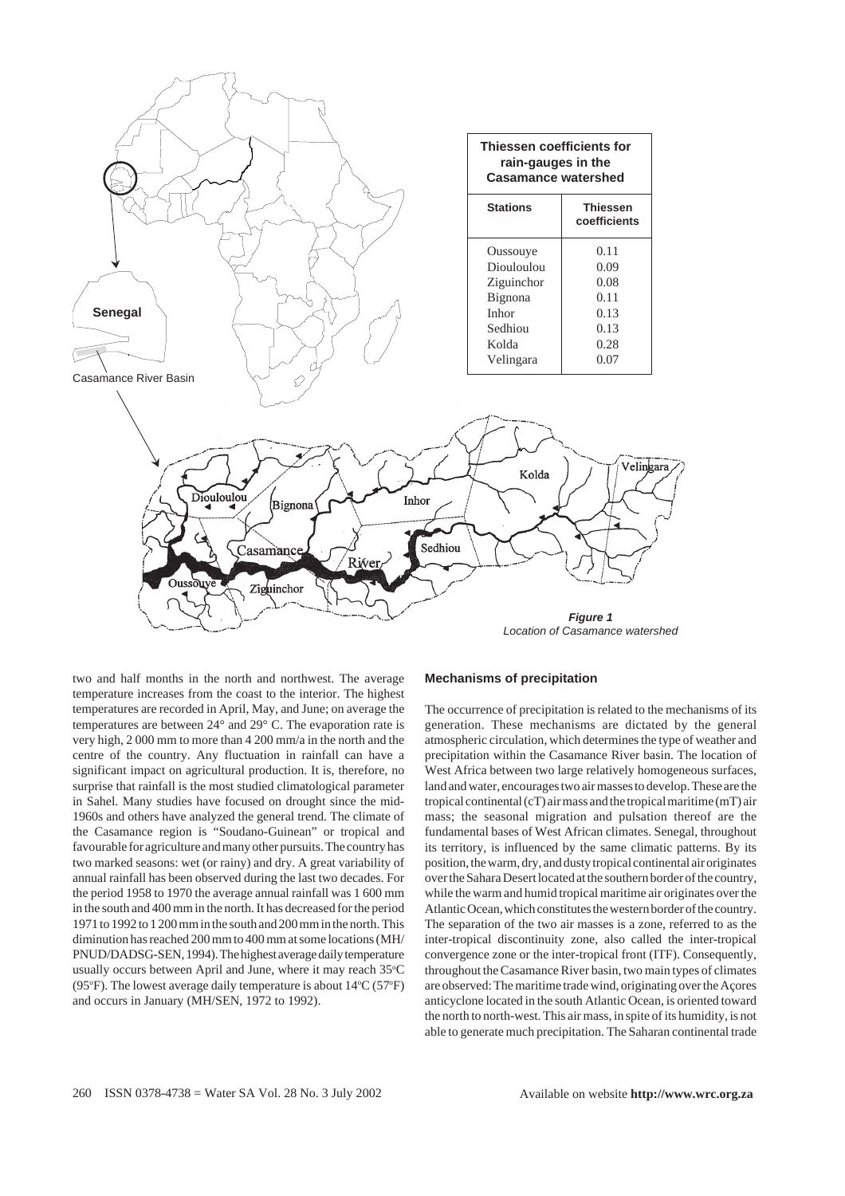

two and half months in the north and northwest. The average temperature increases from the coast to the interior. The highest temperatures are recorded in April, May, and June; on average the temperatures are between 24° and 29° C. The evaporation rate is very high, 2 000 mm to more than 4 200 mm/a in the north and the centre of the country. Any fluctuation in rainfall can have a significant impact on agricultural production. It is, therefore, no surprise that rainfall is the most studied climatological parameter in Sahel. Many studies have focused on drought since the mid-1960s and others have analyzed the general trend. The climate of the Casamance region is "Soudano-Guinean" or tropical and favourable for agriculture and many other pursuits. The country has two marked seasons: wet (or rainy) and dry. A great variability of annual rainfall has been observed during the last two decades. For the period 1958 to 1970 the average annual rainfall was 1 600 mm in the south and 400 mm in the north. It has decreased for the period 1971 to 1992 to 1 200 mm in the south and 200 mm in the north. This diminution has reached 200 mm to 400 mm at some locations (MH/ PNUD/DADSG-SEN, 1994). The highest average daily temperature usually occurs between April and June, where it may reach  $35^{\circ}\mathrm{C}$ (95°F). The lowest average daily temperature is about  $14$ °C (57°F) and occurs in January (MH/SEN, 1972 to 1992).

### **Mechanisms of precipitation**

The occurrence of precipitation is related to the mechanisms of its generation. These mechanisms are dictated by the general atmospheric circulation, which determines the type of weather and precipitation within the Casamance River basin. The location of West Africa between two large relatively homogeneous surfaces, land and water, encourages two air masses to develop. These are the tropical continental (cT) air mass and the tropical maritime (mT) air mass; the seasonal migration and pulsation thereof are the fundamental bases of West African climates. Senegal, throughout its territory, is influenced by the same climatic patterns. By its position, the warm, dry, and dusty tropical continental air originates over the Sahara Desert located at the southern border of the country, while the warm and humid tropical maritime air originates over the Atlantic Ocean, which constitutes the western border of the country. The separation of the two air masses is a zone, referred to as the inter-tropical discontinuity zone, also called the inter-tropical convergence zone or the inter-tropical front (ITF). Consequently, throughout the Casamance River basin, two main types of climates are observed: The maritime trade wind, originating over the Açores anticyclone located in the south Atlantic Ocean, is oriented toward the north to north-west. This air mass, in spite of its humidity, is not able to generate much precipitation. The Saharan continental trade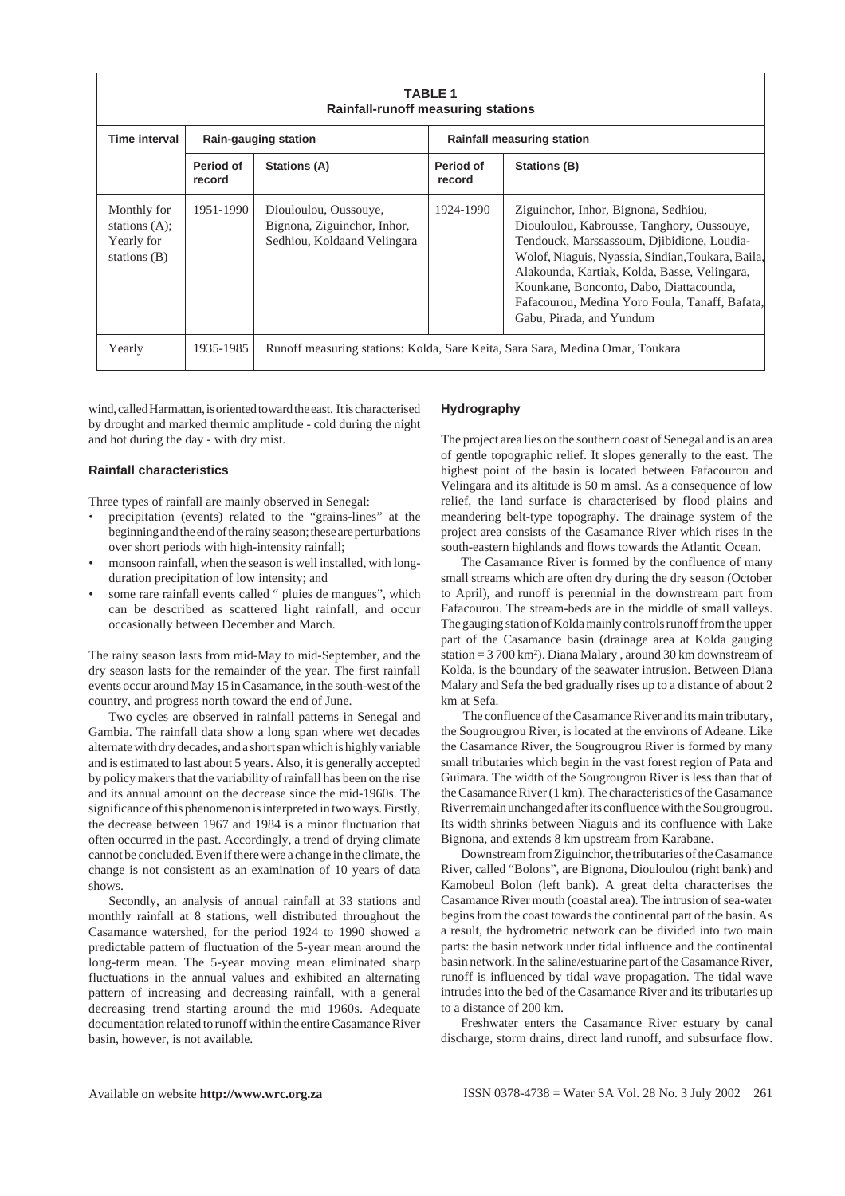|                                                                      |                     | <b>Rainfall-runoff measuring stations</b>                                           | <b>TABLE 1</b>      |                                                                                                                                                                                                                                                                                                                                                                |
|----------------------------------------------------------------------|---------------------|-------------------------------------------------------------------------------------|---------------------|----------------------------------------------------------------------------------------------------------------------------------------------------------------------------------------------------------------------------------------------------------------------------------------------------------------------------------------------------------------|
| Time interval                                                        |                     | Rain-gauging station                                                                |                     | <b>Rainfall measuring station</b>                                                                                                                                                                                                                                                                                                                              |
|                                                                      | Period of<br>record | Stations (A)                                                                        | Period of<br>record | Stations (B)                                                                                                                                                                                                                                                                                                                                                   |
| Monthly for<br>stations $(A)$ :<br><b>Yearly for</b><br>stations (B) | 1951-1990           | Diouloulou, Oussouye,<br>Bignona, Ziguinchor, Inhor,<br>Sedhiou, Koldaand Velingara | 1924-1990           | Ziguinchor, Inhor, Bignona, Sedhiou,<br>Diouloulou, Kabrousse, Tanghory, Oussouye,<br>Tendouck, Marssassoum, Djibidione, Loudia-<br>Wolof, Niaguis, Nyassia, Sindian, Toukara, Baila,<br>Alakounda, Kartiak, Kolda, Basse, Velingara,<br>Kounkane, Bonconto, Dabo, Diattacounda,<br>Fafacourou, Medina Yoro Foula, Tanaff, Bafata,<br>Gabu, Pirada, and Yundum |
| Yearly                                                               | 1935-1985           |                                                                                     |                     | Runoff measuring stations: Kolda, Sare Keita, Sara Sara, Medina Omar, Toukara                                                                                                                                                                                                                                                                                  |

wind, called Harmattan, is oriented toward the east. It is characterised by drought and marked thermic amplitude - cold during the night and hot during the day - with dry mist.

### **Rainfall characteristics**

Three types of rainfall are mainly observed in Senegal:

- precipitation (events) related to the "grains-lines" at the beginning and the end of the rainy season; these are perturbations over short periods with high-intensity rainfall;
- monsoon rainfall, when the season is well installed, with longduration precipitation of low intensity; and
- some rare rainfall events called " pluies de mangues", which can be described as scattered light rainfall, and occur occasionally between December and March.

The rainy season lasts from mid-May to mid-September, and the dry season lasts for the remainder of the year. The first rainfall events occur around May 15 in Casamance, in the south-west of the country, and progress north toward the end of June.

Two cycles are observed in rainfall patterns in Senegal and Gambia. The rainfall data show a long span where wet decades alternate with dry decades, and a short span which is highly variable and is estimated to last about 5 years. Also, it is generally accepted by policy makers that the variability of rainfall has been on the rise and its annual amount on the decrease since the mid-1960s. The significance of this phenomenon is interpreted in two ways. Firstly, the decrease between 1967 and 1984 is a minor fluctuation that often occurred in the past. Accordingly, a trend of drying climate cannot be concluded. Even if there were a change in the climate, the change is not consistent as an examination of 10 years of data shows.

Secondly, an analysis of annual rainfall at 33 stations and monthly rainfall at 8 stations, well distributed throughout the Casamance watershed, for the period 1924 to 1990 showed a predictable pattern of fluctuation of the 5-year mean around the long-term mean. The 5-year moving mean eliminated sharp fluctuations in the annual values and exhibited an alternating pattern of increasing and decreasing rainfall, with a general decreasing trend starting around the mid 1960s. Adequate documentation related to runoff within the entire Casamance River basin, however, is not available.

#### **Hydrography**

The project area lies on the southern coast of Senegal and is an area of gentle topographic relief. It slopes generally to the east. The highest point of the basin is located between Fafacourou and Velingara and its altitude is 50 m amsl. As a consequence of low relief, the land surface is characterised by flood plains and meandering belt-type topography. The drainage system of the project area consists of the Casamance River which rises in the south-eastern highlands and flows towards the Atlantic Ocean.

The Casamance River is formed by the confluence of many small streams which are often dry during the dry season (October to April), and runoff is perennial in the downstream part from Fafacourou. The stream-beds are in the middle of small valleys. The gauging station of Kolda mainly controls runoff from the upper part of the Casamance basin (drainage area at Kolda gauging station = 3 700 km2 ). Diana Malary , around 30 km downstream of Kolda, is the boundary of the seawater intrusion. Between Diana Malary and Sefa the bed gradually rises up to a distance of about 2 km at Sefa.

 The confluence of the Casamance River and its main tributary, the Sougrougrou River, is located at the environs of Adeane. Like the Casamance River, the Sougrougrou River is formed by many small tributaries which begin in the vast forest region of Pata and Guimara. The width of the Sougrougrou River is less than that of the Casamance River (1 km). The characteristics of the Casamance River remain unchanged after its confluence with the Sougrougrou. Its width shrinks between Niaguis and its confluence with Lake Bignona, and extends 8 km upstream from Karabane.

Downstream from Ziguinchor, the tributaries of the Casamance River, called "Bolons", are Bignona, Diouloulou (right bank) and Kamobeul Bolon (left bank). A great delta characterises the Casamance River mouth (coastal area). The intrusion of sea-water begins from the coast towards the continental part of the basin. As a result, the hydrometric network can be divided into two main parts: the basin network under tidal influence and the continental basin network. In the saline/estuarine part of the Casamance River, runoff is influenced by tidal wave propagation. The tidal wave intrudes into the bed of the Casamance River and its tributaries up to a distance of 200 km.

Freshwater enters the Casamance River estuary by canal discharge, storm drains, direct land runoff, and subsurface flow.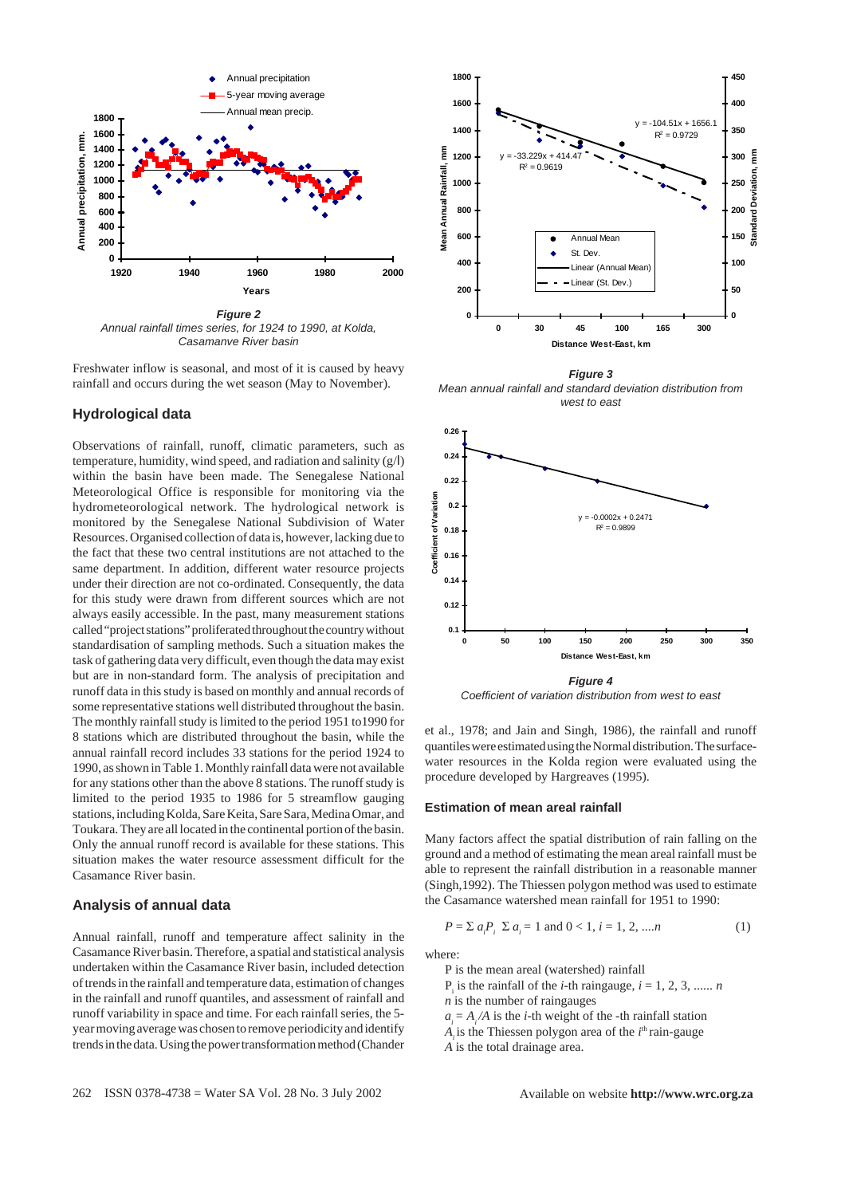

*Annual rainfall times series, for 1924 to 1990, at Kolda, Casamanve River basin*

Freshwater inflow is seasonal, and most of it is caused by heavy rainfall and occurs during the wet season (May to November).

### **Hydrological data**

Observations of rainfall, runoff, climatic parameters, such as temperature, humidity, wind speed, and radiation and salinity (g/l) within the basin have been made. The Senegalese National Meteorological Office is responsible for monitoring via the hydrometeorological network. The hydrological network is monitored by the Senegalese National Subdivision of Water Resources. Organised collection of data is, however, lacking due to the fact that these two central institutions are not attached to the same department. In addition, different water resource projects under their direction are not co-ordinated. Consequently, the data for this study were drawn from different sources which are not always easily accessible. In the past, many measurement stations called "project stations" proliferated throughout the country without standardisation of sampling methods. Such a situation makes the task of gathering data very difficult, even though the data may exist but are in non-standard form. The analysis of precipitation and runoff data in this study is based on monthly and annual records of some representative stations well distributed throughout the basin. The monthly rainfall study is limited to the period 1951 to1990 for 8 stations which are distributed throughout the basin, while the annual rainfall record includes 33 stations for the period 1924 to 1990, as shown in Table 1. Monthly rainfall data were not available for any stations other than the above 8 stations. The runoff study is limited to the period 1935 to 1986 for 5 streamflow gauging stations, including Kolda, Sare Keita, Sare Sara, Medina Omar, and Toukara. They are all located in the continental portion of the basin. Only the annual runoff record is available for these stations. This situation makes the water resource assessment difficult for the Casamance River basin.

### **Analysis of annual data**

Annual rainfall, runoff and temperature affect salinity in the Casamance River basin. Therefore, a spatial and statistical analysis undertaken within the Casamance River basin, included detection of trends in the rainfall and temperature data, estimation of changes in the rainfall and runoff quantiles, and assessment of rainfall and runoff variability in space and time. For each rainfall series, the 5 year moving average was chosen to remove periodicity and identify trends in the data. Using the power transformation method (Chander



*Figure 3 Mean annual rainfall and standard deviation distribution from west to east*



*Coefficient of variation distribution from west to east*

et al., 1978; and Jain and Singh, 1986), the rainfall and runoff quantiles were estimated using the Normal distribution. The surfacewater resources in the Kolda region were evaluated using the procedure developed by Hargreaves (1995).

#### **Estimation of mean areal rainfall**

Many factors affect the spatial distribution of rain falling on the ground and a method of estimating the mean areal rainfall must be able to represent the rainfall distribution in a reasonable manner (Singh,1992). The Thiessen polygon method was used to estimate the Casamance watershed mean rainfall for 1951 to 1990:

$$
P = \sum a_i P_i \sum a_i = 1 \text{ and } 0 < 1, \ i = 1, \ 2, \ \dots \ n \tag{1}
$$

where:

P is the mean areal (watershed) rainfall

 $P_i$  is the rainfall of the *i*-th raingauge,  $i = 1, 2, 3, \dots$ ...

*n* is the number of raingauges

 $a_i = A_i / A$  is the *i*-th weight of the -th rainfall station

 $A_i$  is the Thiessen polygon area of the  $I^{\text{th}}$  rain-gauge

*A* is the total drainage area.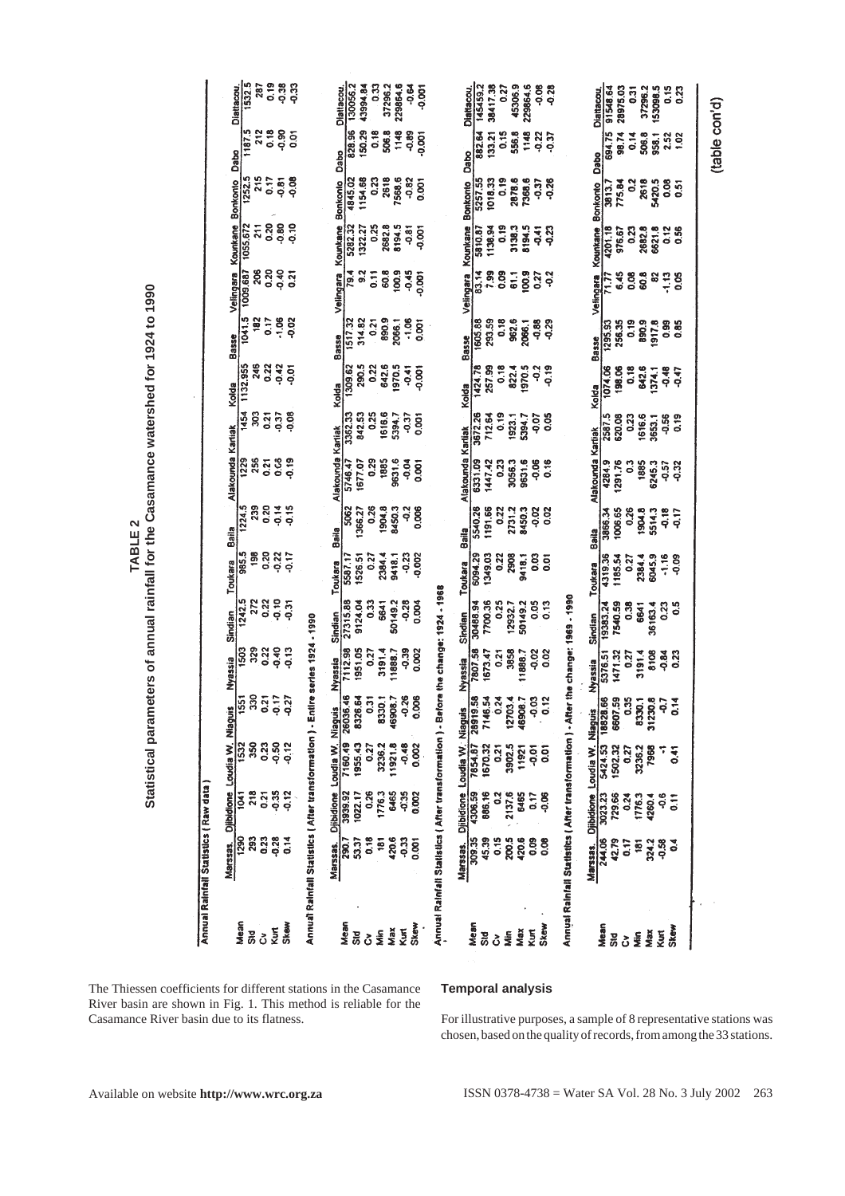| Statistical parameters of annual rainfall for the Casamance watershed for 1924 to 1990<br>TABLE <sub>2</sub> | Alakounda Kartiak<br>Baila<br>Toukara<br>Sindian<br>Nyassia<br>551<br>Niaguis<br>Loudia W | 1224.5<br>239<br>985.5<br>198<br>1242.5<br>272<br>329<br>1503<br>g<br>ຕ | 0.20<br>0.14<br>0.20<br>0.22<br>$-0.10$<br>0.22<br>0.22<br>$-0.40$<br>$\overline{\mathbf{z}}$<br>÷<br>o<br>0<br>ິ<br>$\frac{5}{2}$ | 0.15<br>$-0.17$<br>$\frac{5}{9}$<br>$-0.13$<br>$\overline{27}$<br>ę<br>0.12<br>$\frac{2}{9}$ | re series 1924 - 1990                                       | Alakounda Kartiak<br>Baila<br>Toukara<br>Sindian<br>Nyassia<br>Niaguis<br>oudia W | 5062<br>5587.17<br>27315.88<br>7112.98<br>1951.05<br>ş<br>3<br>8326.<br>26036<br>160.4<br>3939.9<br>1022.17 | 0.26<br>1366.27<br>1526.51<br>0.27<br>9124.04<br>0.33<br>0.27<br>$\overline{5}$<br>$\overline{0.2}$<br>0.26 | 1904.8<br>2384.4<br>6641<br>3191.4<br>នី<br>776.3 | 8450.3<br>9418.1<br>50149.2<br>$-0.28$<br>0.39<br>11888.7<br>8<br>$\overline{\mathcal{L}}$<br>16908<br>1921.8<br>6465 | 2g<br>0.006<br>$-0.23$<br>$-0.002$<br>0.004<br>0.002<br>8<br>0.002<br>$-0.35$<br>0.002 | re the change: 1924 - 1968                               | Alakounda Kartiak<br>Baila<br>Toukara<br>Sindian<br>Nyassia<br>Niaguis<br>Loudia W | 5540.26<br>1191.66<br>6094.29<br>1349.03<br>7700.36<br>30488.94<br>7807.58<br>1673.47<br>အ<br>굶<br><b>18919</b><br>670.32<br>854.8<br>886.16<br>1306.5 | $\frac{22}{3}$<br>0.22<br>0.25<br>0.21<br>న | 2731.2<br>2908<br>12932.7<br>3858<br>₹.<br>3902.<br>2137.6 | 8450.3<br><b>Si</b><br>0.03<br>9418.1<br>0.05<br>50149.2<br>11888.7<br>-0.02<br>ခု<br>1192 | 0.02<br>$\overline{0}$<br>0.13<br>0.02<br>% ≃<br>$\overline{5}$<br>0.06 | the change: 1969 - 1990                                   | Alakounda Kartiak<br>Baila<br>Toukara<br>Sindian<br>Nyassia<br><b>Niaguis</b><br>Loudia W | 3866.34<br>4319.36<br>19383.24<br>7540.59<br>1471.32<br>5376.51<br>φ<br>Ω<br>6607<br>502.3<br>729.66 | 1006.65<br>0.26<br>1185.54<br>0.27<br>0.38<br>0.27<br><u>ທ</u> | 1904.8<br>2384.4<br>6641<br>3191.4<br>8330.<br>3236.2<br>1776.3 | 5514.3<br>6045.9<br>36163.4<br>8108<br>œ<br>31230<br>୭ଟ୍<br>1260<br>Ģ | -0.18<br>$\frac{1}{2}$<br>$-1.16$<br>-0.09<br>0.23<br>°3<br>$-0.84$<br>0.23<br>à<br>S<br>5.41<br>$\frac{1}{2}$ |  |
|--------------------------------------------------------------------------------------------------------------|-------------------------------------------------------------------------------------------|-------------------------------------------------------------------------|------------------------------------------------------------------------------------------------------------------------------------|----------------------------------------------------------------------------------------------|-------------------------------------------------------------|-----------------------------------------------------------------------------------|-------------------------------------------------------------------------------------------------------------|-------------------------------------------------------------------------------------------------------------|---------------------------------------------------|-----------------------------------------------------------------------------------------------------------------------|----------------------------------------------------------------------------------------|----------------------------------------------------------|------------------------------------------------------------------------------------|--------------------------------------------------------------------------------------------------------------------------------------------------------|---------------------------------------------|------------------------------------------------------------|--------------------------------------------------------------------------------------------|-------------------------------------------------------------------------|-----------------------------------------------------------|-------------------------------------------------------------------------------------------|------------------------------------------------------------------------------------------------------|----------------------------------------------------------------|-----------------------------------------------------------------|-----------------------------------------------------------------------|----------------------------------------------------------------------------------------------------------------|--|
| Annual Rainfail Statistics (Raw data                                                                         | <b>Djibidione</b><br>$\frac{90}{2}$<br>Marssas.<br>Mean                                   | $\mathbf{g}$<br>ž                                                       | ខ្លួន ដូ<br><b>Kutt</b><br>ò                                                                                                       | <b>Skew</b>                                                                                  | Annual Rainfall Statistics   After transformation ) - Entir | Diibidione<br>Marssas                                                             | នី<br>စ္ထ<br>Mean<br><b>Sid</b>                                                                             | ៊ី<br>ငံ                                                                                                    | ś                                                 | ຂຶ<br>33<br>Max<br>Κuπ                                                                                                | igo<br>Skew                                                                            | Annual Rainfall Statistics (After transformation) - Befo | <b>Olibidione</b><br>Marssas.                                                      | 309.35<br>15.39<br>Mean<br>Sid                                                                                                                         | 0.15                                        | 200.5<br>š                                                 | 20.6<br>80.0<br>Уņ                                                                         | $\frac{8}{2}$<br>Skey                                                   | Annual Rainfall Statistics (After transformation) - After | Diibidione<br>Marssas.                                                                    | <b>127</b><br>Mean<br>Std                                                                            | ပိ                                                             | ë<br>š                                                          | 58<br>324.<br>Max<br>Kurt                                             | ្ដី<br><b>Skey</b>                                                                                             |  |

### **Temporal analysis**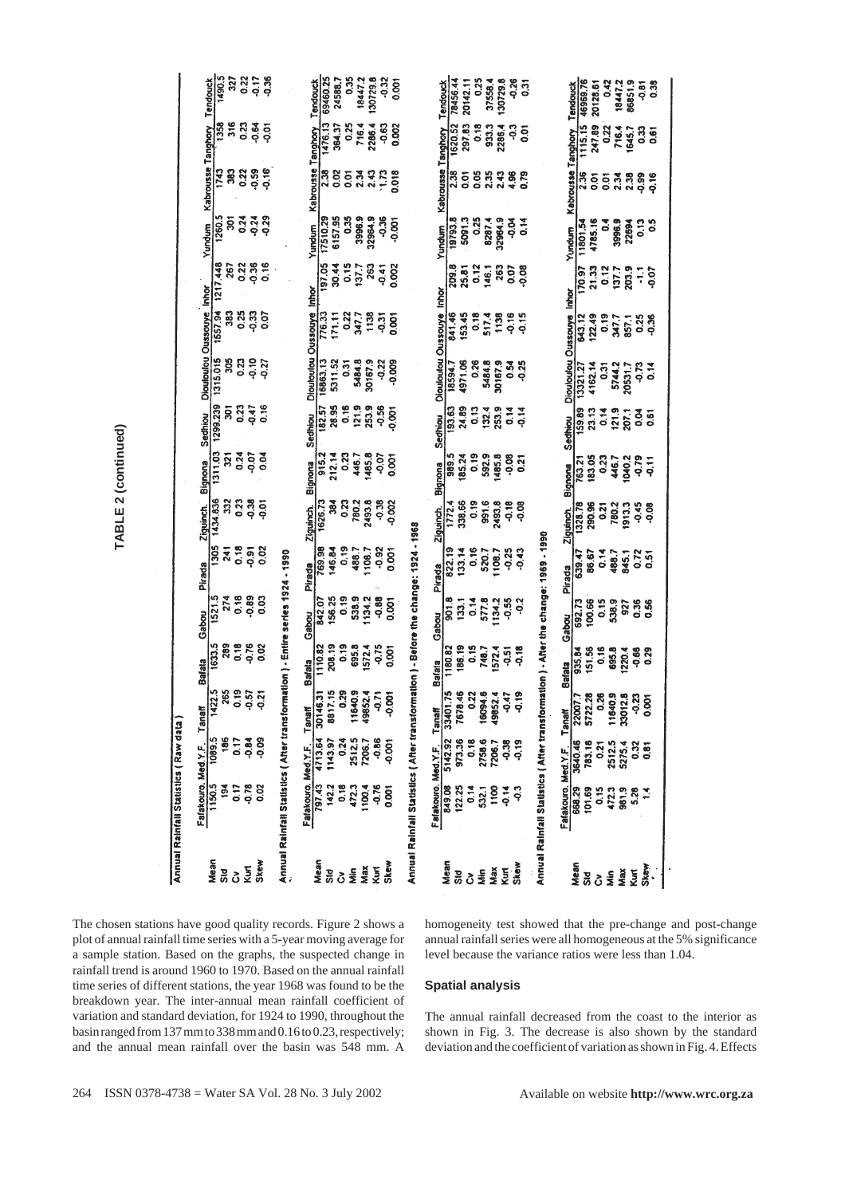|                                                                                                                                                                                                                                                                                                                                                          |                                       |                           | Tendouck<br>1490.5 | 327           | 0.22            | $-0.17$<br><b>95</b>     |                                          |           | Tendouck<br>  69460.25          | 24588.7       | 0.35           | 18447.2       | 130729.8              | $-0.32$             | 0.001        |                                            |                           | Tendouck           | 78456.44<br>20142.11  | 0.25          | 37558.4             | 130729.8          | -0.26                    | $\overline{0}31$ |                                                                                   |                           | Tendouck         | 46969.76<br>20128.61 | 0.42          | 18447.2                      | 86851.9 | $-0.81$      | 0.38          |                                                        |  |                                                                                                                                                                                                        |
|----------------------------------------------------------------------------------------------------------------------------------------------------------------------------------------------------------------------------------------------------------------------------------------------------------------------------------------------------------|---------------------------------------|---------------------------|--------------------|---------------|-----------------|--------------------------|------------------------------------------|-----------|---------------------------------|---------------|----------------|---------------|-----------------------|---------------------|--------------|--------------------------------------------|---------------------------|--------------------|-----------------------|---------------|---------------------|-------------------|--------------------------|------------------|-----------------------------------------------------------------------------------|---------------------------|------------------|----------------------|---------------|------------------------------|---------|--------------|---------------|--------------------------------------------------------|--|--------------------------------------------------------------------------------------------------------------------------------------------------------------------------------------------------------|
|                                                                                                                                                                                                                                                                                                                                                          |                                       |                           | 1358               | 316           | 0.23            | $-0.64$<br>ō             |                                          |           | 1476.13                         | 364.37        | 0.25           | 716.4         | 2286.4                | $-0.63$             | 0.002        |                                            |                           |                    | 297.83<br>1620.52     | 0.18          | 933.3               | 2286.4            | ဒု                       | $\overline{5}$   |                                                                                   |                           |                  | 1115.15<br>247.89    | 0.22          | 716.4                        | 1645.7  |              | 33<br>0.61    |                                                        |  |                                                                                                                                                                                                        |
|                                                                                                                                                                                                                                                                                                                                                          |                                       | Kabrousse Tanghory        | 1743               | $\frac{3}{8}$ | 0.22            | $-0.16$<br>0.59          |                                          |           | Kabrousse Tanghory<br>2.38      | 0.02          | $\overline{0}$ | 2.34          | 243                   |                     | 0.018        |                                            |                           | Kabrousse Tanghory | 2.38<br>$\frac{5}{9}$ | 0.05          | 2.35                | 2.43              | 4.96                     |                  |                                                                                   | Kabrousse Tanghory        | $\frac{1}{2.36}$ | $\overline{5}$       | 0.01          | 2.34                         | 2.38    | 0.99         | 0.16          |                                                        |  |                                                                                                                                                                                                        |
|                                                                                                                                                                                                                                                                                                                                                          |                                       | Yundum                    | 1260.5             | ន្ត           | 0.24            | 0.29<br>$-0.24$          |                                          |           | 17510.29<br>Yundum              | 6157.95       | 0.35           | 3996.9        | 32964.9               | $-0.36$             | -0.001       |                                            |                           | 19793.8<br>Yundum  | 5091.3                | 0.25          | 8287.4              | 32964.9           | Ъор<br>0.14              |                  |                                                                                   | Yundum                    | 11801.54         | 4785.16              | $\frac{4}{5}$ | 3996.9                       | 22694   | 0.13         | °°            |                                                        |  |                                                                                                                                                                                                        |
|                                                                                                                                                                                                                                                                                                                                                          |                                       |                           | 1217.448           | 267           | 0.22            | $-0.36$<br>0.16          |                                          |           | 197.05                          | 30.44         | 0.15           | 137.7         | 263                   | $-0.41$             | 0.002        |                                            |                           | 209.8              | 25.81                 | 0.12          | 146.1               | 263               | 0.07<br>$\frac{8}{9}$    |                  |                                                                                   |                           | 170.97           | 21.33                | 0.12          | 137.7                        | 203.9   | F            | ço.           |                                                        |  |                                                                                                                                                                                                        |
|                                                                                                                                                                                                                                                                                                                                                          |                                       |                           | 1557.94            | 383           | 0.25            | <b>So</b>                |                                          |           | Inhor<br>776.33                 | 171.11        | 0.22           | 347.7         | 1138                  | 59                  | <b>50.00</b> |                                            |                           | 841.46             | 153.45                | 0.18          | 517.4               | 1138              | $-0.16$<br>$-0.15$       |                  |                                                                                   |                           | 643.12           | 122.49               | 0.19          | 347.7                        | 857,1   | 0.25         | $-0.36$       |                                                        |  |                                                                                                                                                                                                        |
|                                                                                                                                                                                                                                                                                                                                                          |                                       | Dioutoulou Oussauye Inhor | 1315.015           | 305           | 0.23            | 0.10<br>0.27             |                                          |           | Dioutoulou Oussouye<br>16863.13 | 5311.52       | 0.31           | 5484.8        | 30167.9               | $-0.22$             | -0.009       |                                            | Diouloulou Oussouye Inhor | 18594.7            | 4971.06               | 0.26          | 5484.8              | 30167.9           | 0.54<br>0.25             |                  |                                                                                   | Diouloulou Oussouye Inhor | 13321.27         | 4162.14              | 0.31          | 5744.2                       | 20531.7 | -0.73        | 0.14          |                                                        |  |                                                                                                                                                                                                        |
|                                                                                                                                                                                                                                                                                                                                                          |                                       | Sedhiou                   | 1299.239           | ត្ត           | 0.23            | 0.16<br>0.47             |                                          | Sedhiou   | 182.57                          | 28.95         | 0.16           | 121.9         | 253.9                 | $-0.56$<br>$-0.001$ |              |                                            | Sedhiou                   | 193.63             | 24.89                 | 0.13          | 132.4               | 253.9             | $\frac{4}{5}$<br>$-0.14$ |                  |                                                                                   | Sedhiou                   | 159.89           | 23.13                | 0.14          | 121.9                        | 207.1   | <b>DO</b>    | 0.61          |                                                        |  |                                                                                                                                                                                                        |
|                                                                                                                                                                                                                                                                                                                                                          |                                       | Bignona                   | 1311.03            | ន្ត           | 0.24            | $-0.07$<br>$\frac{5}{2}$ |                                          | Bignona   | 915.2                           | 212.14        | 0.23           | 446.7         | 1485.8                | $-0.07$<br>0.001    |              |                                            | Bignona                   | 989.5              | 185.24                | 0.19          | 592.9               | 1485.8            | 0.08<br>$\overline{2}$   |                  |                                                                                   | Bignona                   | 763.21           | 183.05               | 0.23          | 446.7                        | 1040.2  | $-0.79$      | $\frac{1}{2}$ |                                                        |  |                                                                                                                                                                                                        |
| TABLE 2 (continued)                                                                                                                                                                                                                                                                                                                                      |                                       | Ziguinch                  | 1434.836           | 332           | 0.23            | õò                       |                                          | Ziguinch  | 1626.73                         | $\frac{3}{2}$ | 0.23           | 780.2         | 2493.8                | $-0.38$<br>-0.002   |              |                                            | Ziguinch.                 | 1772.4             | 338.66                | $\frac{9}{5}$ | 991.6               | 2493.8            | $-0.18$<br>-0.08         |                  |                                                                                   | <b>Ziguinch</b>           | 1328.78          | 290.96               | 0.21          | 780.2                        | 1913.3  | $-0.45$      | <b>80.06</b>  |                                                        |  |                                                                                                                                                                                                        |
|                                                                                                                                                                                                                                                                                                                                                          |                                       | Pirada                    | $\frac{1305}{200}$ | 241           | 0.18            | 0.02<br>0.91             | $0661 -$                                 | Pirada    | 769.98                          | 146.84        | 0.19           | 488.7         | 1108.7                | $-0.92$<br>0.001    |              | rmation ) - Before the change: 1924 - 1968 | Pirada                    | 822.19             | 133.14                | 0.16          | 520.7               | 1108.7            | $-0.25$<br>$-0.43$       |                  |                                                                                   | Pirada                    | 639.47           | 86.67                | 0.14          | 488.7                        | 845.1   | 0.72         | 0.51          |                                                        |  |                                                                                                                                                                                                        |
|                                                                                                                                                                                                                                                                                                                                                          |                                       | Gabou                     | 1521.5             | 274           | 0.18            | 0.89<br>$\frac{3}{2}$    | ormation ) - Entire series 1924          | Gabou     | 842.07                          | 156.25        | 0.19           | 538.9         | 1134.2                | $-0.88$<br>0.001    |              |                                            | Gabou                     | 901.8              | 133.1                 | $rac{4}{0}$   | 577.8               | $-0.55$<br>1134.2 | ္ဒိ                      |                  |                                                                                   | Gabou                     | 692.73           | 100.66               | 0.15          | 538.9                        | 327     | 0.36<br>0.56 |               |                                                        |  |                                                                                                                                                                                                        |
|                                                                                                                                                                                                                                                                                                                                                          |                                       | Bafata                    | 1633.5             | 289           | 0.18<br>0.76    | 0.02                     |                                          | Bafata    | 1110.82                         | 208.19        | $\frac{9}{2}$  | 695.8         | 572.4<br>$-0.75$      | 0.001               |              |                                            | <b>Bafata</b>             | 1180.82            | 186.19                | 0.15          | 1572.4<br>748.7     | 51                | $-0.18$                  |                  |                                                                                   | <b>Bafata</b>             | 935.84           | 151.56               | 0.16          | 695.8                        | 1220.4  | 0.66         | 0.29          |                                                        |  |                                                                                                                                                                                                        |
|                                                                                                                                                                                                                                                                                                                                                          |                                       | Tana                      | $\frac{225}{2}$    | 265           | 0.19<br>$-0.57$ | 5.0                      |                                          |           | $\frac{1}{9}$                   | 17.15         | 0.29           | 340.9         | 52.4<br>$\frac{5}{9}$ | š                   |              |                                            |                           | 1.75               | 8.46                  | 0.22          | <b>94.6</b><br>52.4 | 0.47              | $\frac{9}{9}$            |                  |                                                                                   |                           | $\overline{077}$ | 2.28                 | 0.26          | $rac{9}{4}$                  | 12.8    | 0.23         | ā             |                                                        |  |                                                                                                                                                                                                        |
|                                                                                                                                                                                                                                                                                                                                                          |                                       |                           |                    |               |                 |                          |                                          | Med Y F   |                                 |               |                |               |                       | 8<br>0              |              |                                            |                           |                    |                       |               |                     |                   |                          |                  |                                                                                   |                           |                  |                      |               |                              |         |              | ទី            |                                                        |  |                                                                                                                                                                                                        |
|                                                                                                                                                                                                                                                                                                                                                          | Annual Rainfall Statistics (Raw data) | Falakouro. Med Y.F        |                    |               |                 |                          | Annual Rainfall Statistics (Alter transf | Falakouro |                                 |               |                |               |                       | ġ                   |              | Annual Rainfall Statistics (After transf   | Fafakouro                 | 849.08             |                       |               |                     |                   |                          |                  | Annual Rainfall Statistics (After transformation) - After the change: 1969 - 1990 | Fafakouro                 |                  |                      |               |                              |         |              |               |                                                        |  |                                                                                                                                                                                                        |
|                                                                                                                                                                                                                                                                                                                                                          |                                       |                           | Mean<br>Std        |               | Kurt            | Skew                     |                                          |           | Nean<br>Sid<br>C>               |               |                | $\frac{1}{2}$ | Max                   | <b>Skev</b>         |              |                                            |                           |                    | ទី<br>កំពូន<br>ដូ     | $\frac{1}{2}$ | Max                 |                   | Kun<br>Skew              |                  |                                                                                   |                           |                  |                      |               | គ្គ<br>ក្នុង ១ ភូមិ<br>ក្នុង |         | Kurt         |               |                                                        |  |                                                                                                                                                                                                        |
| The chosen stations have good quality records. Figure 2 shows a<br>plot of annual rainfall time series with a 5-year moving average for<br>a sample station. Based on the graphs, the suspected change in<br>rainfall trend is around 1960 to 1970. Based on the annual rainfall<br>time series of different stations, the year 1968 was found to be the |                                       |                           |                    |               |                 |                          |                                          |           |                                 |               |                |               |                       |                     |              |                                            | <b>Spatial analysis</b>   |                    |                       |               |                     |                   |                          |                  |                                                                                   |                           |                  |                      |               |                              |         |              |               | level because the variance ratios were less than 1.04. |  | homogeneity test showed that the pre-change and post-change<br>annual rainfall series were all homogeneous at the 5% significance                                                                      |
| breakdown year. The inter-annual mean rainfall coefficient of<br>variation and standard deviation, for 1924 to 1990, throughout the<br>basin ranged from 137 mm to 338 mm and 0.16 to 0.23, respectively;<br>and the annual mean rainfall over the basin was 548 mm. A                                                                                   |                                       |                           |                    |               |                 |                          |                                          |           |                                 |               |                |               |                       |                     |              |                                            |                           |                    |                       |               |                     |                   |                          |                  |                                                                                   |                           |                  |                      |               |                              |         |              |               |                                                        |  | The annual rainfall decreased from the coast to the interior a<br>shown in Fig. 3. The decrease is also shown by the standard<br>deviation and the coefficient of variation as shown in Fig. 4. Effect |
| 264 ISSN 0378-4738 = Water SA Vol. 28 No. 3 July 2002                                                                                                                                                                                                                                                                                                    |                                       |                           |                    |               |                 |                          |                                          |           |                                 |               |                |               |                       |                     |              |                                            |                           |                    |                       |               |                     |                   |                          |                  |                                                                                   |                           |                  |                      |               |                              |         |              |               |                                                        |  | Available on website http://www.wrc.org.za                                                                                                                                                             |

# **Spatial analysis**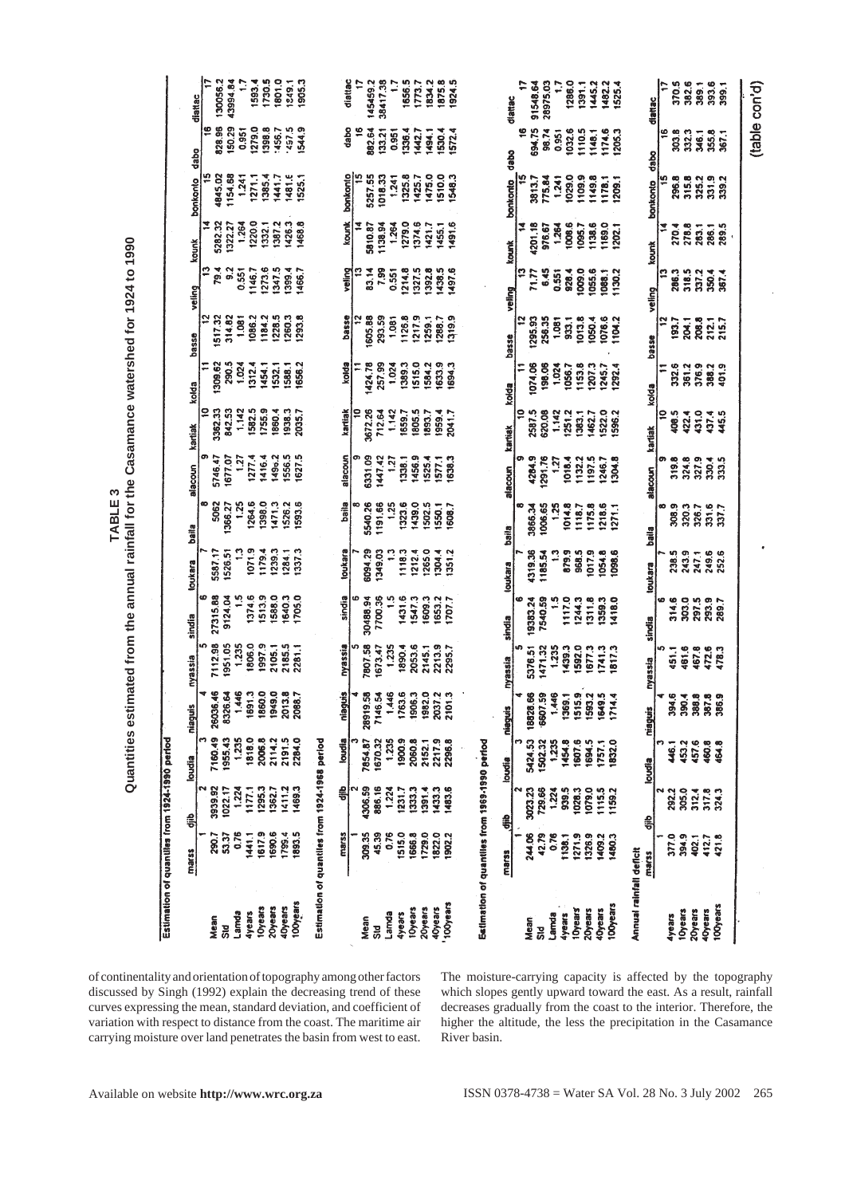1801.0

456.

 $\ddot{a}$  $1481$ 

1593.4

1279.0

1385

 $\overline{2}$ 

3994.8

50 29

**154** 

 $0.95$ 

30056 diattac

828.96

845.07

|c

dabo

bonkonto

1249.1<br>1905.3

 $'457.5$ <br>1544.9

1525.1

diatlac

dabo

bonkanto

145459.2 38417.38

382.64

5257.  $\frac{8}{5}$ 

 $33.2$ 

1656.5 1834.3<br>1875.8<br>1924.9

0.951<br>1136.4<br>11442.7<br>11530.4<br>11572.4

425.

325 475 1510.0 1548.3 ŧŦ

é 594.75

diattac

dabo

bankanta 3813.7

91548.64

28975.03

98.74

56<br>0.95  $\frac{3}{10}$ 

1286.0

029.<br>D g

1391.1

1445.2

 $\frac{1}{48}$ 1032.

 $\frac{3}{2}$ 

1482.2<br>1525.4

1174.6<br>1205.3

**I178.1**<br>1209.1

diattac

dabo

bonkonto

 $\overline{96}$ 

|                                                                                                                                                                                                                                                                                     | Estimation of                                                                                | quantiles from 1924-1990 period |                         |                    |                     |                    |                         |                    |                |                    |                      |                   |                   |                          |
|-------------------------------------------------------------------------------------------------------------------------------------------------------------------------------------------------------------------------------------------------------------------------------------|----------------------------------------------------------------------------------------------|---------------------------------|-------------------------|--------------------|---------------------|--------------------|-------------------------|--------------------|----------------|--------------------|----------------------|-------------------|-------------------|--------------------------|
| of continentality and orientation of topography among other factors<br>discussed by Singh (1992) explain the decreasing trend of these<br>curves expressing the mean, standard deviation, and coefficient of<br>variation with respect to distance from the coast. The maritime air |                                                                                              | marss                           | 흙                       | loudia             | niaguis             | nyassia            | sindia                  | toukara            | baile          | alacoun            | kartiak              | kolda             | basse             | kounk<br>veling          |
|                                                                                                                                                                                                                                                                                     |                                                                                              |                                 |                         |                    |                     |                    |                         |                    |                |                    | ₽                    | ።                 | ₽                 | B                        |
|                                                                                                                                                                                                                                                                                     | Mean<br>Std<br>Lamda<br>4years                                                               | 290.7<br>53.37                  | 3939.92<br>1022.17      | 7160.49<br>1955.43 | 26036.46<br>8326.64 | 7112.98<br>1951.05 | 27315.88<br>9124.04     | 5587.17<br>1526.51 | 5062<br>366.27 | 5746.47<br>1677.07 | 3362.33<br>842.53    | 290.5<br>1309.62  | 1517.32<br>314.82 | 79.4<br>$\overline{9.2}$ |
|                                                                                                                                                                                                                                                                                     |                                                                                              | 0.76                            | 1.224                   | 1.235              | 1.446               | 1.235              | $\frac{5}{10}$          |                    | 1,25           | 127                | 1.142                | 1.024             | 1.081             | 0.551                    |
|                                                                                                                                                                                                                                                                                     |                                                                                              | 1441.1                          | 1177.1                  | 1818.0             | 1691.3              | 1806.0             | 1374.6                  | 1071.9             | 1264.6         | 1277.4             | 1582.5               | 1312.4            | 1086.2            |                          |
|                                                                                                                                                                                                                                                                                     | <b>10years</b>                                                                               | 1617.9                          | 1295.3                  | 2006.8             | 1860.0              | 19979              | 1513.9                  | 1179.4             | 1398.0         | 1416.4             | 1755.9               | 1454.1            | 1184.2            | 1273.6<br>1146.7         |
|                                                                                                                                                                                                                                                                                     | 20years                                                                                      | 1690.6                          | 1362.7                  | 2114.2             | 1949.0              | 2105.1             | 1588.0                  | 1239.3             | 1471.3         | 149 <sub>b.2</sub> | 1860.4               | 1532.1            | 1228.5            |                          |
|                                                                                                                                                                                                                                                                                     | <b>4Dyears</b>                                                                               |                                 | 1411.2                  | 2191.5             | 2013.8              | 2185.5             | 1640.3                  | 1284.1             | 1526.2         | 1556.5             | 1938.3               | 1588.1            | 1260.3            | 1347.5<br>1399.4         |
|                                                                                                                                                                                                                                                                                     | 100years                                                                                     | 1799.4                          | 1469.3                  | 2284.0             | 2088.7              | 2281.1             | 1705.0                  | 1337.3             | 1593.6         | 1627.5             | 2035.7               | 1656.2            | 1293.8            | 1466.7                   |
| carrying moisture over land penetrates the basin from west to east.                                                                                                                                                                                                                 | Estimation of                                                                                | quantiles from 1924-1968 period |                         |                    |                     |                    |                         |                    |                |                    |                      |                   |                   |                          |
|                                                                                                                                                                                                                                                                                     |                                                                                              | marss                           | 릙                       | loudia             | <b>cingein</b>      | nyassia            | sindia                  | toukara            | baila          | alacoun            | kartiak              | kolda             | basse             | veling                   |
|                                                                                                                                                                                                                                                                                     |                                                                                              |                                 |                         |                    |                     |                    |                         |                    |                |                    |                      |                   |                   |                          |
|                                                                                                                                                                                                                                                                                     |                                                                                              | 309.35                          | 1306.59                 | 7854.87            | 28919.58            | 7807.58            | 30488.94                | 6094.29            | 5540.26        | 6331.09            | 3672.26              | 1424.78           | 1605.88           | 83.14                    |
|                                                                                                                                                                                                                                                                                     |                                                                                              | 45.39                           | 886.16                  | 1670.32            | 7146.54             | 1673.47            | 7700.36                 | 1349.03            | 1191.66        | 1447.42            | 712.64               | 257.99            | 293.59            | 7.99                     |
|                                                                                                                                                                                                                                                                                     |                                                                                              | 0.76                            | 1.224                   | 1.235              | 1,446               | 1.235              |                         |                    | 1.25           | 1.27               | 1.142                | 1.024             | 1.081             | 0.551                    |
|                                                                                                                                                                                                                                                                                     |                                                                                              | 1515.0                          | 1231.7                  | 1900.9             | 1763.6              | 1890.4             | 1431.6                  | 1118.3             | 1323.6         | 1338.1             | 1659.7               | 1389.3            | 1126.8            | 1214.8                   |
|                                                                                                                                                                                                                                                                                     |                                                                                              | 1666.8                          | 333.3                   | 2060.8             | 1906.3              | 2053.6             | 1547.3                  | 1212.4             | 1439.0         | 1456.9             | 1805.5               | 1515.0            | 1217.9            | 1327.5                   |
|                                                                                                                                                                                                                                                                                     |                                                                                              | 1729.0                          | 1391.4                  | 2152.1             | 1982.0              | 2145.1             | 1609.3                  | 1265.0             | 1502.5         | 1525.4             | 1893.7               | 1584.2            | 1259.1            | 1392.8                   |
|                                                                                                                                                                                                                                                                                     | Mean<br>Sid<br>Samda<br>Lamda<br>Shears<br>Shears<br>2009-19<br>Spears<br>Copears<br>Copears | 1822.0                          | 1433.3                  | 2217.9             | 2037.2              | 2213.9             | 1653.2                  | 1304.4             | 1550.1         | 1577.1             | 1959.4               | 1633.9            | 1288.7            | 1438.5<br>1497.6         |
|                                                                                                                                                                                                                                                                                     |                                                                                              | 1902.2                          | 1483.6                  | 2296.8             | 2101.3              | 2295.7             | 1707.7                  | 1351.2             | 1608.7         | 1638.3             | 2041.7               | 1694.3            | 1319.9            |                          |
| River basin.                                                                                                                                                                                                                                                                        |                                                                                              |                                 |                         |                    |                     |                    |                         |                    |                |                    |                      |                   |                   |                          |
| The moisture-carrying capacity is affected by the topography<br>which slopes gently upward toward the east. As a result, rainfall<br>decreases gradually from the coast to the interior. Therefore, the<br>higher the altitude, the less the precipitation in the Casamance         | Eatlmation of                                                                                | quantiles from 1969-1990 perfod |                         |                    |                     |                    |                         |                    |                |                    |                      |                   |                   |                          |
|                                                                                                                                                                                                                                                                                     |                                                                                              |                                 |                         |                    |                     |                    |                         |                    |                |                    |                      |                   |                   |                          |
|                                                                                                                                                                                                                                                                                     |                                                                                              | <b>MAGE</b>                     | €                       | loudia             | <b>Cindenu</b>      | nyassia            | G<br>sindia             | loukara            | baila          | alacoun            | kartiak              | koida             | basse             | kounk<br>veling          |
|                                                                                                                                                                                                                                                                                     |                                                                                              | 244.06                          | 3023.23                 | 5424.53            | 18828.66            | 5376.51            | 19383.24                | 1319.36            | œ<br>3866.34   | စ<br>4284.9        | $\tilde{\mathbf{a}}$ |                   |                   |                          |
|                                                                                                                                                                                                                                                                                     | Mean<br>Std<br>Camda<br>Lyears<br>Cyears<br>20years<br>40years                               | 42.79                           | 729.66                  | 1502.32            | 6607.59             | 1471.32            | 7540.59                 | 1185.54            | 1006.65        | 1291.76            | 2587.5<br>620.08     | 1074.06<br>198.06 | 1295.93<br>256.35 | 6.45<br>71.77            |
|                                                                                                                                                                                                                                                                                     |                                                                                              | 0.76                            | 1.224                   | 1,235              | 1.446               | 1.235              | ္                       |                    | 1.25           | 1.27               | 1.142                | 1.024             | 1.081             | 0.551                    |
|                                                                                                                                                                                                                                                                                     |                                                                                              | 1138.1                          | 939.5                   | 1454.8             | 1369.1              | 1439.3             | 1117.0                  | 879.9              | 1014.8         | 1018.4             | 1251.2               | 1056.7            | 933.1             | 928.4                    |
|                                                                                                                                                                                                                                                                                     |                                                                                              | 1271.9                          | 1028.3                  | 1607.6             | 1515.9              | 1592.0             | 1244.3                  | 968.5              | 1118.7         | 1132.2             | 1383.1               | 1153.8            | 1013.8            | 1009.0                   |
|                                                                                                                                                                                                                                                                                     |                                                                                              | 1326.9                          | 1079.0                  | 1694.5             | 1593.2              | 1677.3             | 1311.8                  | 1017.9             | 1175.8         | 1197.5             | 1462.7               | 1207.3            | 1050.4            | 1055.6                   |
|                                                                                                                                                                                                                                                                                     |                                                                                              | 1409.2                          | 1115.5                  | 1757.1             | 1649.5              | 1741.3             | 1359.3                  | 1054.8             | 1218.6         | 1246.7             | 1522.0               | 1245.7            | 1076.6            | 1088.1                   |
|                                                                                                                                                                                                                                                                                     | <b>100years</b>                                                                              | 1480.3                          | 1159.2                  | 1832.0             | 1714.4              | 1817.3             | 1418.0                  | 1098.6             | 1271.1         | 1304.8             | 1596.2               | 1292.4            | 1104.2            | 1130.2                   |
|                                                                                                                                                                                                                                                                                     | Annual rainfall                                                                              | deficit                         |                         |                    |                     |                    |                         |                    |                |                    |                      |                   |                   |                          |
|                                                                                                                                                                                                                                                                                     |                                                                                              | marss                           | ŝ                       | loudia             | niaguis             | <b>nyassia</b>     | sindia                  | toukara            | baila          | alacoun            | kartiak              | koida             | basse             | kounk<br>veling          |
|                                                                                                                                                                                                                                                                                     |                                                                                              |                                 |                         |                    |                     |                    | w                       |                    | စာ             | ø                  | ă                    | Ξ                 | ä                 | $\mathbf{r}$             |
|                                                                                                                                                                                                                                                                                     | Ayears                                                                                       | 377.0                           | 292.2                   | 446.1              | 394.6               | 451.1              | 314.6                   | 238.5              | 308.9          | 319.8              | 408.5                | 332.6             | 193.7             | 286.3                    |
|                                                                                                                                                                                                                                                                                     |                                                                                              | 394.9                           | 305.0                   | 453.2              | 390.4               | 461.6              | 303.0                   | 243.9              | 320.3          | 324.8              | 422.4                | 361.2             | 204.1             | 318.5                    |
|                                                                                                                                                                                                                                                                                     | 10years<br>20years<br>40years                                                                | 402.1                           | 312.4<br>317.8<br>324.3 | 457.6              | 388.8               | 467.8              | 297.5<br>293.9<br>289.7 | 247.1              | 326.7          | 327.9              | 431.0                | 376.9             | 208.8             | 337,2                    |
|                                                                                                                                                                                                                                                                                     |                                                                                              | 412.7                           |                         | 460.8              | 387.8               | 472.6              |                         | 249.6<br>252.6     | 337.7          | 333.5              | 437.4                | 388.2<br>401.9    | 212.1             | 350.4                    |
|                                                                                                                                                                                                                                                                                     | <b>100years</b>                                                                              | 421.8                           |                         | 464.8              | 386.9               | 478.3              |                         |                    |                |                    | 445.5                |                   | 215.7             |                          |

(table con'd)

52616<br>5262583<br>526358

883<br>8855<br>88888

313.9<br>335.93<br>535.93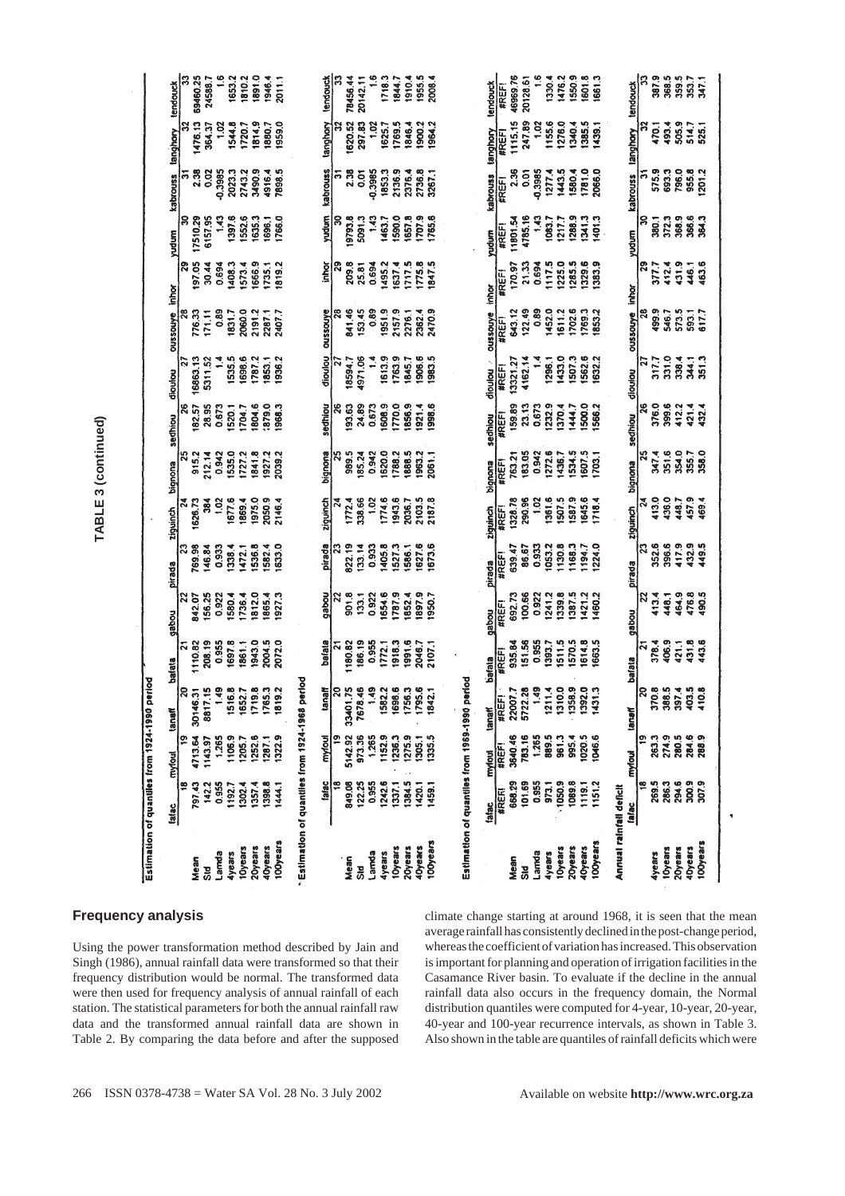| 1117.5<br>1495.2<br>1717.5<br>1775.8<br>1847.5<br>0.694<br>1225.0<br>1285.5<br>1329.6<br>1383.9<br>463.6<br>1408.3<br>1666.9<br>1819.2<br>170.97<br>412.4<br>ုဒ္မ<br>25.81<br>0.694<br>1637.4<br>1735.1<br>446.1<br><b>#REF!</b><br><b>Inhor</b><br>inhor<br>oussouye inhor<br>122.49<br>0.89<br>1452.0<br>499.9<br>0.89<br>2060.0<br>oussouye<br>841.46<br>153.45<br>0.89<br>1951.9<br>2157.9<br>2470.9<br>oussouye<br>1702.6<br>1769.3<br>1853.2<br>$\mathbf{a}$<br>573.5<br>776.33<br>171,11<br>1831.7<br>2191.2<br>2287.1<br>2407.7<br>2276.1<br>2362.4<br>643.12<br>1611.2<br>546.7<br>593.1<br>617.7<br>oussouye<br><b>#REF1</b><br>dioulou<br>16863.13<br>1936.2<br>1613.9<br>1983.5<br>5311.52<br>$\ddot{ }$<br>1535.5<br>1698.6<br>1787.2<br>1853.1<br>4971.06<br>1763.9<br>1845.7<br>1906.6<br>4162.14<br>1296.1<br>1433.0<br>1507.3<br>1562.6<br>1632.2<br>331.0<br>338.4<br><b>344.1</b><br>351.3<br>18594.7<br>27<br>317.7<br>13321.27<br><u>is</u><br>$\tilde{\phantom{a}}$<br>#REF1<br>dioutou<br>dioutou<br>dioutou<br>26<br>1608.9<br>1770.0<br>1856.9<br>1998.6<br>0.673<br>1232.9<br>1500.0<br>$\frac{8}{2}$<br>421.4<br>432.4<br>1879.0<br>26<br>24.89<br>0.673<br>1921.4<br>1370.4<br>1566.2<br>1444.7 | 417.9<br>432.9<br>1633.0<br>1673.6<br>1224.0<br>352.6<br>396.6<br>449.5<br>769.98<br>1582.4<br>pirada<br>822.19<br>133.14<br>1405.8<br>1527.3<br>1586.1<br>1627.6<br>86.67<br>0.933<br>1053.2<br>1130.8<br>1168.3<br>1194.7<br> ನ<br> ္လ<br>146.84<br>0.933<br>1338.4<br>1472.1<br>1536.8<br>0.933<br>639.47<br><b>#REF!</b><br>pirada<br>pirada<br>pirada<br>692.73<br>100.66<br>490.5<br>156.25<br>1812.0<br>1927.3<br>pabou<br>901.8<br>1654.6<br>1897.9<br>1950.7<br>0.922<br>1241.2<br>1387.5<br>1421.2<br>1460.2<br>413.4<br>464.9<br>476.8<br>$\boldsymbol{z}$<br>842.07<br>0.922<br>1580.4<br>1736.4<br>1865.4<br>133.1<br>0.922<br>1787.9<br>1852.4<br>1339.8<br>$\overline{2}$<br>448.1<br>#REF!<br>gabou<br>gabou<br>gabou | <b>#REFI</b><br>bafata<br>bafala<br>bafata<br>period<br>beher<br>period<br>$\frac{9}{4}$<br>8<br>0 5 6 9<br><b>Tier</b><br> ္ဂ<br>$\tilde{\mathcal{R}}$<br>9<br>ସ୍<br>32.2<br>38.6<br>56.3<br>95.6<br>ą<br>11.4<br>10.0<br>58.9<br><b>92.0</b><br> ႙<br>370.8<br>388.5<br>397.4<br>403.5<br> ន<br>15<br>$\frac{8}{6}$<br>52.7<br>$\overline{2.1}$<br>57 <sub>0</sub><br>2.28<br>$\frac{3}{2}$<br><b>10.8</b><br>$\overline{5}$<br>lΞ<br>₫<br>#RE<br>tanaf<br>lanaf<br>lanaf<br>280.5<br>284.6<br>263.3<br>274.9<br>5142.92<br>973.36<br>152.9 | mylout<br>fafac<br>₽<br>269.5<br>286.3<br>284.9<br>307.9<br>101.69<br>1151.2<br>849.08<br>122.25<br>1242.6<br>1459.1<br>0.95<br>0.95<br>1444.<br>$\frac{95}{20}$<br>$\frac{9}{10}$<br>142.<br>398.<br>1420.<br>ក្ក<br>នី<br>337.<br>384<br>88<br>192.<br>302.<br>357<br>fatac<br>beje) | TABLE 3 (continued) | Estimation of quantiles from 1924-1990 p | yudum<br>sedhiou<br>bignona<br>ziguinch<br>mytou | န္က<br>నే<br>죠 | 17510.29<br>197.05<br>182.57<br>915.2<br>1626.73<br>1110.82<br>Mean | 6157.95<br>30.44<br>28.95<br>212.14<br>ន្លី<br>208.19<br>Sid | 1.43<br>0.694<br>0.673<br>0.942<br>102<br>Lamda | 1397.6<br>1520.1<br>1535.0<br>1677.6<br><b>Ayears</b> | 1552.6<br>1573.4<br>1704.7<br>1727.2<br>1869.4<br>10years | 1635.3<br>1804.6<br>1841.8<br>1975.0<br>20years | 1696.1<br>1927.2<br>2050.9<br>40years | 1766.0<br>1968.3<br>2039.2<br>2146.4<br>100years | Estimation of quantiles from 1924-1968 | kabrouss<br>yudum<br>inhor<br>sedhiou<br>bignona<br>ziquinch<br>bafata<br>myloul | ន | 9793.8<br>209.8<br>193.63<br>989.5<br>1772.4<br>Mean<br>Std | 5091.3<br>185.24<br>338.66 | -0.3985<br>1.43<br>0.942<br>1.02<br>Lamda | 1620.0 | 1463.7<br>1774.6<br><i><b>4years</b></i> | 2376.4<br>1590.0<br>1788.2<br>1943.6<br><b>I</b> Oyears | 1657.8<br>1888.5<br>2036.7<br>20years | 2736.8<br>3267.1<br>1707.9<br>1963.2<br>2103.5<br><b>iOyears</b> | 1765.6<br>2061.1<br>2187.8<br><b>IOOyears</b> | Estimation of quantiles from 1969-1990 | kabrouss<br>yudum<br>sedhiou<br><b>Binoutiq</b><br>ziguinch | <b>#REFI</b><br><b>#REF1</b><br><b>#REF!</b><br>#REF!<br><b>#REF!</b><br>#REF | 11801.54<br>159.89<br>763.21<br>1328.78<br>Mean | 4785.16<br>21.33<br>23.13<br>183.05<br>290.96<br>783.16<br><u>ក្នុ</u> | 0.3985<br>1277.4<br>1.43<br>0.942<br>1.02<br>Larnda | 1083.7<br>1272.6<br>1361.6<br><b>dyears</b> | 1217.7<br>1436.7<br>1507.5<br><b>IOyears</b> | 1288.9<br>1534.5<br>1587.9<br>20year | 1341.3<br>1607.5<br>1645.6<br><b>IOyears</b> | 1401.3<br>1703.1<br>1718.4<br>g<br>8<br>100years | Annual rainfall deficit | kabrouss<br>yudurn<br>sedhiou<br><b>Bignona</b><br>ziquinch<br>mytout | ႙<br>$\frac{1}{2}$<br>$\frac{25}{25}$<br>$\overline{24}$<br>N | 380.1<br>377.7<br>376.0<br>347.4<br>413.0<br>4years | 372.3<br>399.6<br>351.6<br>436.0<br>10year: | 368.9<br>431.9<br>412.2<br>354.0<br>448.7<br>20years | 366.6<br>355.7<br>457.9<br>4Dyears | 364.3<br>358.0<br>169.4<br>288<br>100years |
|-----------------------------------------------------------------------------------------------------------------------------------------------------------------------------------------------------------------------------------------------------------------------------------------------------------------------------------------------------------------------------------------------------------------------------------------------------------------------------------------------------------------------------------------------------------------------------------------------------------------------------------------------------------------------------------------------------------------------------------------------------------------------------------------------------------------------------------------------------------------------------------------------------------------------------------------------------------------------------------------------------------------------------------------------------------------------------------------------------------------------------------------------------------------------------------------------------------------------------|---------------------------------------------------------------------------------------------------------------------------------------------------------------------------------------------------------------------------------------------------------------------------------------------------------------------------------------------------------------------------------------------------------------------------------------------------------------------------------------------------------------------------------------------------------------------------------------------------------------------------------------------------------------------------------------------------------------------------------------|-----------------------------------------------------------------------------------------------------------------------------------------------------------------------------------------------------------------------------------------------------------------------------------------------------------------------------------------------------------------------------------------------------------------------------------------------------------------------------------------------------------------------------------------------|----------------------------------------------------------------------------------------------------------------------------------------------------------------------------------------------------------------------------------------------------------------------------------------|---------------------|------------------------------------------|--------------------------------------------------|----------------|---------------------------------------------------------------------|--------------------------------------------------------------|-------------------------------------------------|-------------------------------------------------------|-----------------------------------------------------------|-------------------------------------------------|---------------------------------------|--------------------------------------------------|----------------------------------------|----------------------------------------------------------------------------------|---|-------------------------------------------------------------|----------------------------|-------------------------------------------|--------|------------------------------------------|---------------------------------------------------------|---------------------------------------|------------------------------------------------------------------|-----------------------------------------------|----------------------------------------|-------------------------------------------------------------|-------------------------------------------------------------------------------|-------------------------------------------------|------------------------------------------------------------------------|-----------------------------------------------------|---------------------------------------------|----------------------------------------------|--------------------------------------|----------------------------------------------|--------------------------------------------------|-------------------------|-----------------------------------------------------------------------|---------------------------------------------------------------|-----------------------------------------------------|---------------------------------------------|------------------------------------------------------|------------------------------------|--------------------------------------------|
|                                                                                                                                                                                                                                                                                                                                                                                                                                                                                                                                                                                                                                                                                                                                                                                                                                                                                                                                                                                                                                                                                                                                                                                                                             |                                                                                                                                                                                                                                                                                                                                                                                                                                                                                                                                                                                                                                                                                                                                       |                                                                                                                                                                                                                                                                                                                                                                                                                                                                                                                                               | 1943.0<br>2004.5<br>2072.0<br>186.19<br>151.56<br>0.955<br>1393.7<br>1511.5<br>1570.5<br>1614.8<br>1663.5<br>378.4<br>406.9<br>431.8<br>443.6<br>0.955<br>1697.8<br>0.955<br>1918.3<br>1991.6<br>2046.7<br>935.84<br>1180.82<br>1772.1<br>2107.1<br>421.1<br>1861.1                    |                     |                                          |                                                  |                |                                                                     |                                                              |                                                 |                                                       |                                                           |                                                 |                                       |                                                  |                                        |                                                                                  |   |                                                             |                            |                                           |        |                                          |                                                         |                                       |                                                                  |                                               |                                        |                                                             |                                                                               |                                                 |                                                                        |                                                     |                                             |                                              |                                      |                                              |                                                  |                         |                                                                       |                                                               |                                                     |                                             |                                                      |                                    |                                            |

### **Frequency analysis**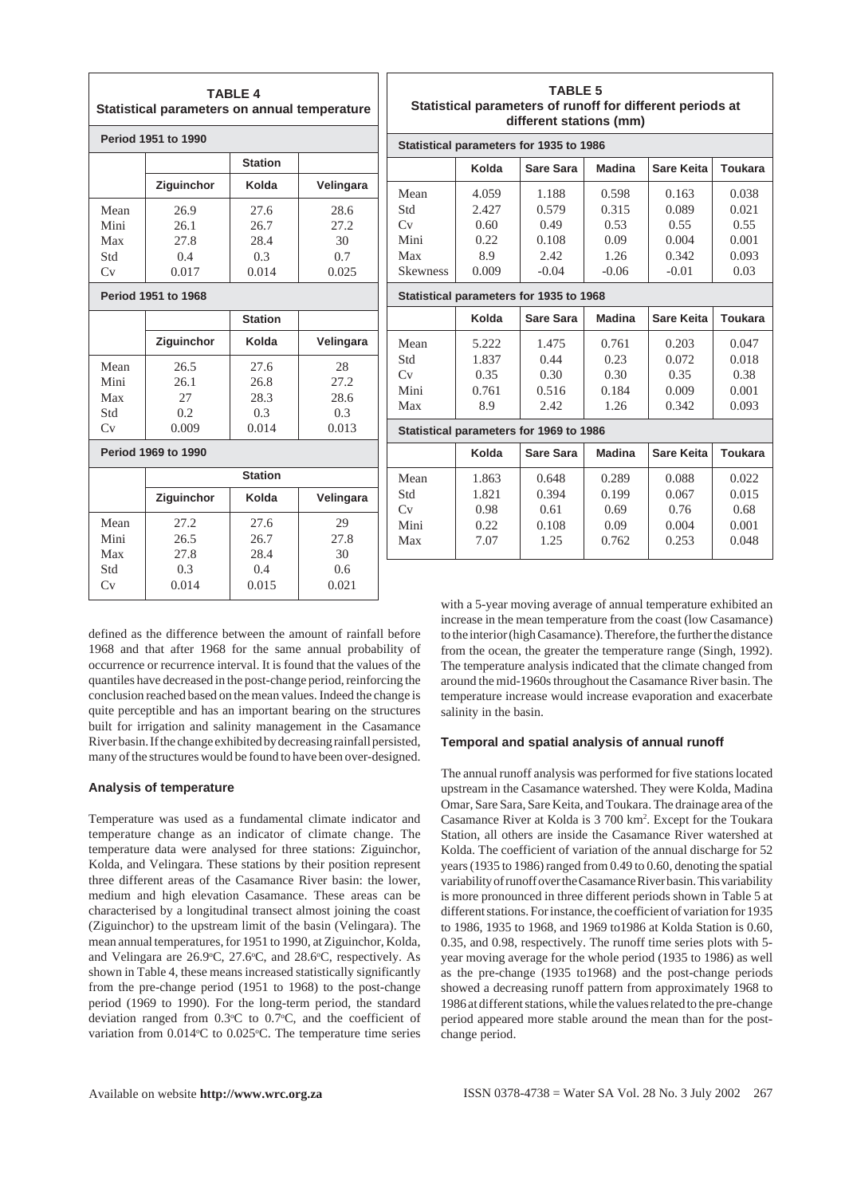|                        | Statistical parameters on annual temperature | <b>TABLE 4</b> |           | <b>Statisti</b>    |
|------------------------|----------------------------------------------|----------------|-----------|--------------------|
|                        | Period 1951 to 1990                          |                |           | <b>Statistical</b> |
|                        |                                              | <b>Station</b> |           |                    |
|                        | Ziguinchor                                   | Kolda          | Velingara | Mean               |
| Mean                   | 26.9                                         | 27.6           | 28.6      | Std                |
| Mini                   | 26.1                                         | 26.7           | 27.2      | Cv                 |
| Max                    | 27.8                                         | 28.4           | 30        | Mini               |
| Std                    | 0.4                                          | 0.3            | 0.7       | Max                |
| $\mathrm{C}\mathrm{v}$ | 0.017                                        | 0.014          | 0.025     | <b>Skewness</b>    |
|                        | Period 1951 to 1968                          |                |           | <b>Statistical</b> |
|                        |                                              | <b>Station</b> |           |                    |
|                        | Ziguinchor                                   | Kolda          | Velingara | Mean               |
| Mean                   | 26.5                                         | 27.6           | 28        | Std                |
| Mini                   | 26.1                                         | 26.8           | 27.2      | Cv                 |
| Max                    | 27                                           | 28.3           | 28.6      | Mini               |
| Std                    | 0.2                                          | 0.3            | 0.3       | Max                |
| Cv                     | 0.009                                        | 0.014          | 0.013     | <b>Statistical</b> |
|                        | <b>Period 1969 to 1990</b>                   |                |           |                    |
|                        |                                              | <b>Station</b> |           | Mean               |
|                        | Ziguinchor                                   | Kolda          | Velingara | Std<br>Cv          |
| Mean                   | 27.2                                         | 27.6           | 29        | Mini               |
| Mini                   | 26.5                                         | 26.7           | 27.8      | Max                |
| Max                    | 27.8                                         | 28.4           | 30        |                    |
| Std                    | 0.3                                          | 0.4            | 0.6       |                    |
| Cv                     | 0.014                                        | 0.015          | 0.021     |                    |
|                        |                                              |                |           |                    |

|                 |       | Statistical parameters for 1935 to 1986 |               |                   |                |
|-----------------|-------|-----------------------------------------|---------------|-------------------|----------------|
|                 | Kolda | Sare Sara                               | <b>Madina</b> | Sare Keita        | Toukara        |
| Mean            | 4.059 | 1.188                                   | 0.598         | 0.163             | 0.038          |
| Std             | 2.427 | 0.579                                   | 0.315         | 0.089             | 0.021          |
| Cv              | 0.60  | 0.49                                    | 0.53          | 0.55              | 0.55           |
| Mini            | 0.22  | 0.108                                   | 0.09          | 0.004             | 0.001          |
| Max             | 8.9   | 2.42                                    | 1.26          | 0.342             | 0.093          |
| <b>Skewness</b> | 0.009 | $-0.04$                                 | $-0.06$       | $-0.01$           | 0.03           |
|                 |       | Statistical parameters for 1935 to 1968 |               |                   |                |
|                 | Kolda | Sare Sara                               | <b>Madina</b> | <b>Sare Keita</b> | <b>Toukara</b> |
| Mean            | 5.222 | 1.475                                   | 0.761         | 0.203             | 0.047          |
| Std             | 1.837 | 0.44                                    | 0.23          | 0.072             | 0.018          |
| Cv              | 0.35  | 0.30                                    | 0.30          | 0.35              | 0.38           |
| Mini            | 0.761 | 0.516                                   | 0.184         | 0.009             | 0.001          |
| Max             | 8.9   | 2.42                                    | 1.26          | 0.342             | 0.093          |
|                 |       | Statistical parameters for 1969 to 1986 |               |                   |                |
|                 | Kolda | Sare Sara                               | <b>Madina</b> | <b>Sare Keita</b> | <b>Toukara</b> |
| Mean            | 1.863 | 0.648                                   | 0.289         | 0.088             | 0.022          |
| Std             | 1.821 | 0.394                                   | 0.199         | 0.067             | 0.015          |
| Cv              | 0.98  | 0.61                                    | 0.69          | 0.76              | 0.68           |
| Mini            | 0.22  | 0.108                                   | 0.09          | 0.004             | 0.001          |
| Max             | 7.07  | 1.25                                    | 0.762         | 0.253             | 0.048          |
|                 |       |                                         |               |                   |                |

defined as the difference between the amount of rainfall before 1968 and that after 1968 for the same annual probability of occurrence or recurrence interval. It is found that the values of the quantiles have decreased in the post-change period, reinforcing the conclusion reached based on the mean values. Indeed the change is quite perceptible and has an important bearing on the structures built for irrigation and salinity management in the Casamance River basin. If the change exhibited by decreasing rainfall persisted, many of the structures would be found to have been over-designed.

### **Analysis of temperature**

Temperature was used as a fundamental climate indicator and temperature change as an indicator of climate change. The temperature data were analysed for three stations: Ziguinchor, Kolda, and Velingara. These stations by their position represent three different areas of the Casamance River basin: the lower, medium and high elevation Casamance. These areas can be characterised by a longitudinal transect almost joining the coast (Ziguinchor) to the upstream limit of the basin (Velingara). The mean annual temperatures, for 1951 to 1990, at Ziguinchor, Kolda, and Velingara are 26.9°C, 27.6°C, and 28.6°C, respectively. As shown in Table 4, these means increased statistically significantly from the pre-change period (1951 to 1968) to the post-change period (1969 to 1990). For the long-term period, the standard deviation ranged from 0.3°C to 0.7°C, and the coefficient of variation from 0.014°C to 0.025°C. The temperature time series

with a 5-year moving average of annual temperature exhibited an increase in the mean temperature from the coast (low Casamance) to the interior (high Casamance). Therefore, the further the distance from the ocean, the greater the temperature range (Singh, 1992). The temperature analysis indicated that the climate changed from around the mid-1960s throughout the Casamance River basin. The temperature increase would increase evaporation and exacerbate salinity in the basin.

### **Temporal and spatial analysis of annual runoff**

The annual runoff analysis was performed for five stations located upstream in the Casamance watershed. They were Kolda, Madina Omar, Sare Sara, Sare Keita, and Toukara. The drainage area of the Casamance River at Kolda is 3 700 km2 . Except for the Toukara Station, all others are inside the Casamance River watershed at Kolda. The coefficient of variation of the annual discharge for 52 years (1935 to 1986) ranged from 0.49 to 0.60, denoting the spatial variability of runoff over the Casamance River basin. This variability is more pronounced in three different periods shown in Table 5 at different stations. For instance, the coefficient of variation for 1935 to 1986, 1935 to 1968, and 1969 to1986 at Kolda Station is 0.60, 0.35, and 0.98, respectively. The runoff time series plots with 5 year moving average for the whole period (1935 to 1986) as well as the pre-change (1935 to1968) and the post-change periods showed a decreasing runoff pattern from approximately 1968 to 1986 at different stations, while the values related to the pre-change period appeared more stable around the mean than for the postchange period.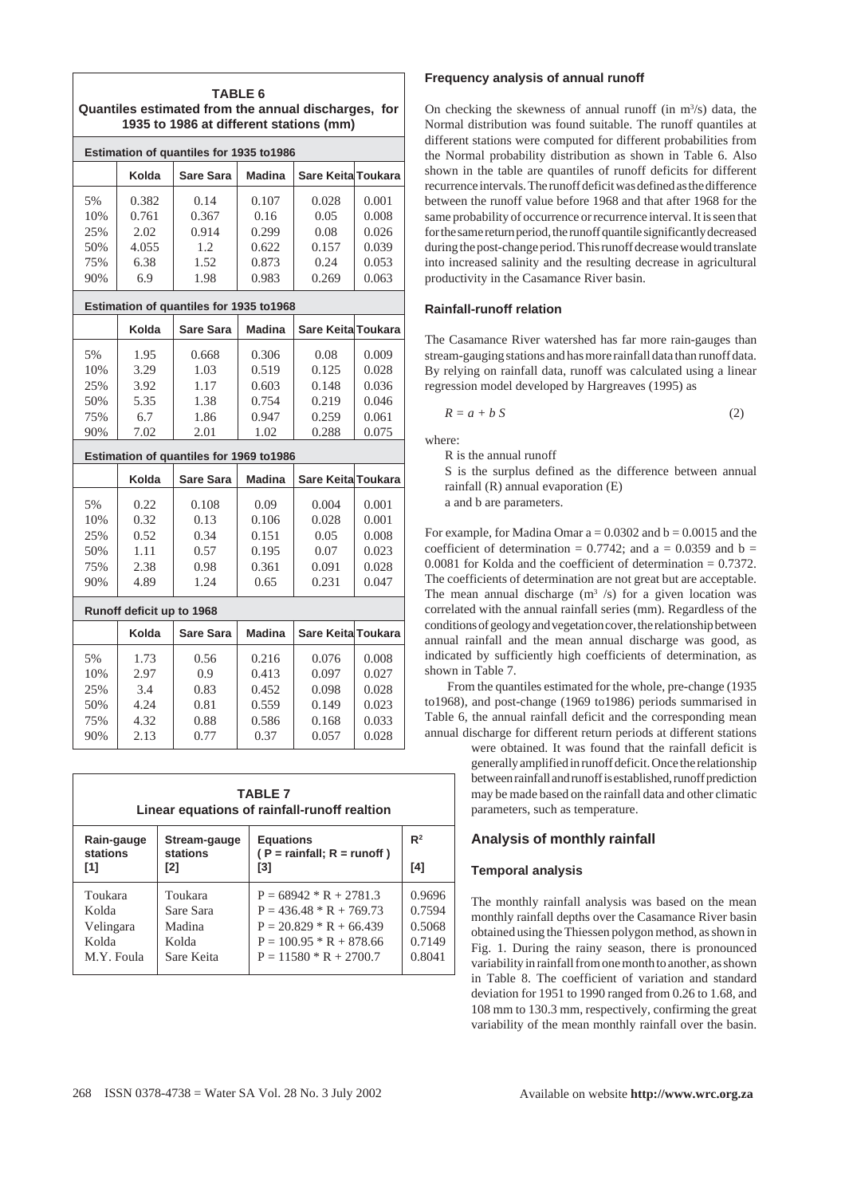| Estimation of quantiles for 1935 to1986<br>Sare Keita Toukara<br>Kolda<br><b>Madina</b><br>Sare Sara<br>5%<br>0.382<br>0.14<br>0.107<br>0.028<br>0.001<br>10%<br>0.761<br>0.367<br>0.16<br>0.05<br>0.008<br>25%<br>2.02<br>0.914<br>0.299<br>0.08<br>0.026<br>50%<br>4.055<br>1.2<br>0.622<br>0.157<br>0.039<br>1.52<br>75%<br>6.38<br>0.24<br>0.053<br>0.873<br>90%<br>6.9<br>1.98<br>0.983<br>0.269<br>0.063<br>Estimation of quantiles for 1935 to1968<br>Kolda<br><b>Sare Sara</b><br><b>Madina</b><br>Sare Keita Toukara<br>5%<br>1.95<br>0.668<br>0.306<br>0.08<br>0.009<br>10%<br>3.29<br>1.03<br>0.125<br>0.028<br>0.519<br>25%<br>3.92<br>1.17<br>0.148<br>0.603<br>0.036<br>5.35<br>50%<br>1.38<br>0.754<br>0.219<br>0.046<br>75%<br>6.7<br>1.86<br>0.947<br>0.259<br>0.061<br>90%<br>0.288<br>7.02<br>2.01<br>1.02<br>0.075<br>Estimation of quantiles for 1969 to1986<br>Kolda<br><b>Sare Keita Toukara</b><br>Sare Sara<br><b>Madina</b><br>5%<br>0.22<br>0.108<br>0.09<br>0.004<br>0.001<br>0.32<br>0.13<br>0.001<br>10%<br>0.106<br>0.028<br>25%<br>0.52<br>0.34<br>0.151<br>0.008<br>0.05<br>1.11<br>50%<br>0.57<br>0.195<br>0.07<br>0.023<br>2.38<br>75%<br>0.98<br>0.361<br>0.091<br>0.028<br>90%<br>4.89<br>1.24<br>0.65<br>0.231<br>0.047<br>Runoff deficit up to 1968<br>Sare Keita Toukara<br>Kolda<br>Sare Sara<br><b>Madina</b> |  | Quantiles estimated from the annual discharges, for<br>1935 to 1986 at different stations (mm) | <b>TABLE 6</b> |  |
|---------------------------------------------------------------------------------------------------------------------------------------------------------------------------------------------------------------------------------------------------------------------------------------------------------------------------------------------------------------------------------------------------------------------------------------------------------------------------------------------------------------------------------------------------------------------------------------------------------------------------------------------------------------------------------------------------------------------------------------------------------------------------------------------------------------------------------------------------------------------------------------------------------------------------------------------------------------------------------------------------------------------------------------------------------------------------------------------------------------------------------------------------------------------------------------------------------------------------------------------------------------------------------------------------------------------------------------------------------|--|------------------------------------------------------------------------------------------------|----------------|--|
|                                                                                                                                                                                                                                                                                                                                                                                                                                                                                                                                                                                                                                                                                                                                                                                                                                                                                                                                                                                                                                                                                                                                                                                                                                                                                                                                                         |  |                                                                                                |                |  |
|                                                                                                                                                                                                                                                                                                                                                                                                                                                                                                                                                                                                                                                                                                                                                                                                                                                                                                                                                                                                                                                                                                                                                                                                                                                                                                                                                         |  |                                                                                                |                |  |
|                                                                                                                                                                                                                                                                                                                                                                                                                                                                                                                                                                                                                                                                                                                                                                                                                                                                                                                                                                                                                                                                                                                                                                                                                                                                                                                                                         |  |                                                                                                |                |  |
|                                                                                                                                                                                                                                                                                                                                                                                                                                                                                                                                                                                                                                                                                                                                                                                                                                                                                                                                                                                                                                                                                                                                                                                                                                                                                                                                                         |  |                                                                                                |                |  |
|                                                                                                                                                                                                                                                                                                                                                                                                                                                                                                                                                                                                                                                                                                                                                                                                                                                                                                                                                                                                                                                                                                                                                                                                                                                                                                                                                         |  |                                                                                                |                |  |
|                                                                                                                                                                                                                                                                                                                                                                                                                                                                                                                                                                                                                                                                                                                                                                                                                                                                                                                                                                                                                                                                                                                                                                                                                                                                                                                                                         |  |                                                                                                |                |  |
|                                                                                                                                                                                                                                                                                                                                                                                                                                                                                                                                                                                                                                                                                                                                                                                                                                                                                                                                                                                                                                                                                                                                                                                                                                                                                                                                                         |  |                                                                                                |                |  |
|                                                                                                                                                                                                                                                                                                                                                                                                                                                                                                                                                                                                                                                                                                                                                                                                                                                                                                                                                                                                                                                                                                                                                                                                                                                                                                                                                         |  |                                                                                                |                |  |
|                                                                                                                                                                                                                                                                                                                                                                                                                                                                                                                                                                                                                                                                                                                                                                                                                                                                                                                                                                                                                                                                                                                                                                                                                                                                                                                                                         |  |                                                                                                |                |  |
|                                                                                                                                                                                                                                                                                                                                                                                                                                                                                                                                                                                                                                                                                                                                                                                                                                                                                                                                                                                                                                                                                                                                                                                                                                                                                                                                                         |  |                                                                                                |                |  |
|                                                                                                                                                                                                                                                                                                                                                                                                                                                                                                                                                                                                                                                                                                                                                                                                                                                                                                                                                                                                                                                                                                                                                                                                                                                                                                                                                         |  |                                                                                                |                |  |
|                                                                                                                                                                                                                                                                                                                                                                                                                                                                                                                                                                                                                                                                                                                                                                                                                                                                                                                                                                                                                                                                                                                                                                                                                                                                                                                                                         |  |                                                                                                |                |  |
|                                                                                                                                                                                                                                                                                                                                                                                                                                                                                                                                                                                                                                                                                                                                                                                                                                                                                                                                                                                                                                                                                                                                                                                                                                                                                                                                                         |  |                                                                                                |                |  |
|                                                                                                                                                                                                                                                                                                                                                                                                                                                                                                                                                                                                                                                                                                                                                                                                                                                                                                                                                                                                                                                                                                                                                                                                                                                                                                                                                         |  |                                                                                                |                |  |
|                                                                                                                                                                                                                                                                                                                                                                                                                                                                                                                                                                                                                                                                                                                                                                                                                                                                                                                                                                                                                                                                                                                                                                                                                                                                                                                                                         |  |                                                                                                |                |  |
|                                                                                                                                                                                                                                                                                                                                                                                                                                                                                                                                                                                                                                                                                                                                                                                                                                                                                                                                                                                                                                                                                                                                                                                                                                                                                                                                                         |  |                                                                                                |                |  |
|                                                                                                                                                                                                                                                                                                                                                                                                                                                                                                                                                                                                                                                                                                                                                                                                                                                                                                                                                                                                                                                                                                                                                                                                                                                                                                                                                         |  |                                                                                                |                |  |
|                                                                                                                                                                                                                                                                                                                                                                                                                                                                                                                                                                                                                                                                                                                                                                                                                                                                                                                                                                                                                                                                                                                                                                                                                                                                                                                                                         |  |                                                                                                |                |  |
|                                                                                                                                                                                                                                                                                                                                                                                                                                                                                                                                                                                                                                                                                                                                                                                                                                                                                                                                                                                                                                                                                                                                                                                                                                                                                                                                                         |  |                                                                                                |                |  |
|                                                                                                                                                                                                                                                                                                                                                                                                                                                                                                                                                                                                                                                                                                                                                                                                                                                                                                                                                                                                                                                                                                                                                                                                                                                                                                                                                         |  |                                                                                                |                |  |
|                                                                                                                                                                                                                                                                                                                                                                                                                                                                                                                                                                                                                                                                                                                                                                                                                                                                                                                                                                                                                                                                                                                                                                                                                                                                                                                                                         |  |                                                                                                |                |  |
|                                                                                                                                                                                                                                                                                                                                                                                                                                                                                                                                                                                                                                                                                                                                                                                                                                                                                                                                                                                                                                                                                                                                                                                                                                                                                                                                                         |  |                                                                                                |                |  |
|                                                                                                                                                                                                                                                                                                                                                                                                                                                                                                                                                                                                                                                                                                                                                                                                                                                                                                                                                                                                                                                                                                                                                                                                                                                                                                                                                         |  |                                                                                                |                |  |
|                                                                                                                                                                                                                                                                                                                                                                                                                                                                                                                                                                                                                                                                                                                                                                                                                                                                                                                                                                                                                                                                                                                                                                                                                                                                                                                                                         |  |                                                                                                |                |  |
|                                                                                                                                                                                                                                                                                                                                                                                                                                                                                                                                                                                                                                                                                                                                                                                                                                                                                                                                                                                                                                                                                                                                                                                                                                                                                                                                                         |  |                                                                                                |                |  |
|                                                                                                                                                                                                                                                                                                                                                                                                                                                                                                                                                                                                                                                                                                                                                                                                                                                                                                                                                                                                                                                                                                                                                                                                                                                                                                                                                         |  |                                                                                                |                |  |
| 5%<br>1.73<br>0.56<br>0.216<br>0.076<br>0.008                                                                                                                                                                                                                                                                                                                                                                                                                                                                                                                                                                                                                                                                                                                                                                                                                                                                                                                                                                                                                                                                                                                                                                                                                                                                                                           |  |                                                                                                |                |  |
| 2.97<br>10%<br>0.9<br>0.413<br>0.097<br>0.027                                                                                                                                                                                                                                                                                                                                                                                                                                                                                                                                                                                                                                                                                                                                                                                                                                                                                                                                                                                                                                                                                                                                                                                                                                                                                                           |  |                                                                                                |                |  |
| 25%<br>3.4<br>0.83<br>0.452<br>0.098<br>0.028                                                                                                                                                                                                                                                                                                                                                                                                                                                                                                                                                                                                                                                                                                                                                                                                                                                                                                                                                                                                                                                                                                                                                                                                                                                                                                           |  |                                                                                                |                |  |
| 4.24<br>0.559<br>50%<br>0.81<br>0.149<br>0.023                                                                                                                                                                                                                                                                                                                                                                                                                                                                                                                                                                                                                                                                                                                                                                                                                                                                                                                                                                                                                                                                                                                                                                                                                                                                                                          |  |                                                                                                |                |  |
| 4.32<br>75%<br>0.88<br>0.586<br>0.168<br>0.033                                                                                                                                                                                                                                                                                                                                                                                                                                                                                                                                                                                                                                                                                                                                                                                                                                                                                                                                                                                                                                                                                                                                                                                                                                                                                                          |  |                                                                                                |                |  |
| 2.13<br>90%<br>0.77<br>0.37<br>0.057<br>0.028                                                                                                                                                                                                                                                                                                                                                                                                                                                                                                                                                                                                                                                                                                                                                                                                                                                                                                                                                                                                                                                                                                                                                                                                                                                                                                           |  |                                                                                                |                |  |

|                        |                          | <b>TABLE 7</b><br>Linear equations of rainfall-runoff realtion |                |
|------------------------|--------------------------|----------------------------------------------------------------|----------------|
| Rain-gauge<br>stations | Stream-gauge<br>stations | <b>Equations</b><br>$(P = rainfall; R = runoff)$               | R <sup>2</sup> |
| [1]                    | [2]                      | [3]                                                            | [4]            |
| Toukara                | Toukara                  | $P = 68942 * R + 2781.3$                                       | 0.9696         |
| Kolda                  | Sare Sara                | $P = 436.48 * R + 769.73$                                      | 0.7594         |
| Velingara              | Madina                   | $P = 20.829 * R + 66.439$                                      | 0.5068         |
| Kolda                  | Kolda                    | $P = 100.95 * R + 878.66$                                      | 0.7149         |
| M.Y. Foula             | Sare Keita               | $P = 11580 * R + 2700.7$                                       | 0.8041         |

### **Frequency analysis of annual runoff**

On checking the skewness of annual runoff (in m<sup>3</sup>/s) data, the Normal distribution was found suitable. The runoff quantiles at different stations were computed for different probabilities from the Normal probability distribution as shown in Table 6. Also shown in the table are quantiles of runoff deficits for different recurrence intervals. The runoff deficit was defined as the difference between the runoff value before 1968 and that after 1968 for the same probability of occurrence or recurrence interval. It is seen that for the same return period, the runoff quantile significantly decreased during the post-change period. This runoff decrease would translate into increased salinity and the resulting decrease in agricultural productivity in the Casamance River basin.

### **Rainfall-runoff relation**

The Casamance River watershed has far more rain-gauges than stream-gauging stations and has more rainfall data than runoff data. By relying on rainfall data, runoff was calculated using a linear regression model developed by Hargreaves (1995) as

$$
R = a + b S \tag{2}
$$

where:

R is the annual runoff

S is the surplus defined as the difference between annual rainfall (R) annual evaporation (E)

a and b are parameters.

For example, for Madina Omar  $a = 0.0302$  and  $b = 0.0015$  and the coefficient of determination =  $0.7742$ ; and a =  $0.0359$  and b = 0.0081 for Kolda and the coefficient of determination = 0.7372. The coefficients of determination are not great but are acceptable. The mean annual discharge  $(m<sup>3</sup>/s)$  for a given location was correlated with the annual rainfall series (mm). Regardless of the conditions of geology and vegetation cover, the relationship between annual rainfall and the mean annual discharge was good, as indicated by sufficiently high coefficients of determination, as shown in Table 7.

 From the quantiles estimated for the whole, pre-change (1935 to1968), and post-change (1969 to1986) periods summarised in Table 6, the annual rainfall deficit and the corresponding mean annual discharge for different return periods at different stations

were obtained. It was found that the rainfall deficit is generally amplified in runoff deficit. Once the relationship between rainfall and runoff is established, runoff prediction may be made based on the rainfall data and other climatic parameters, such as temperature.

### **Analysis of monthly rainfall**

### **Temporal analysis**

The monthly rainfall analysis was based on the mean monthly rainfall depths over the Casamance River basin obtained using the Thiessen polygon method, as shown in Fig. 1. During the rainy season, there is pronounced variability in rainfall from one month to another, as shown in Table 8. The coefficient of variation and standard deviation for 1951 to 1990 ranged from 0.26 to 1.68, and 108 mm to 130.3 mm, respectively, confirming the great variability of the mean monthly rainfall over the basin.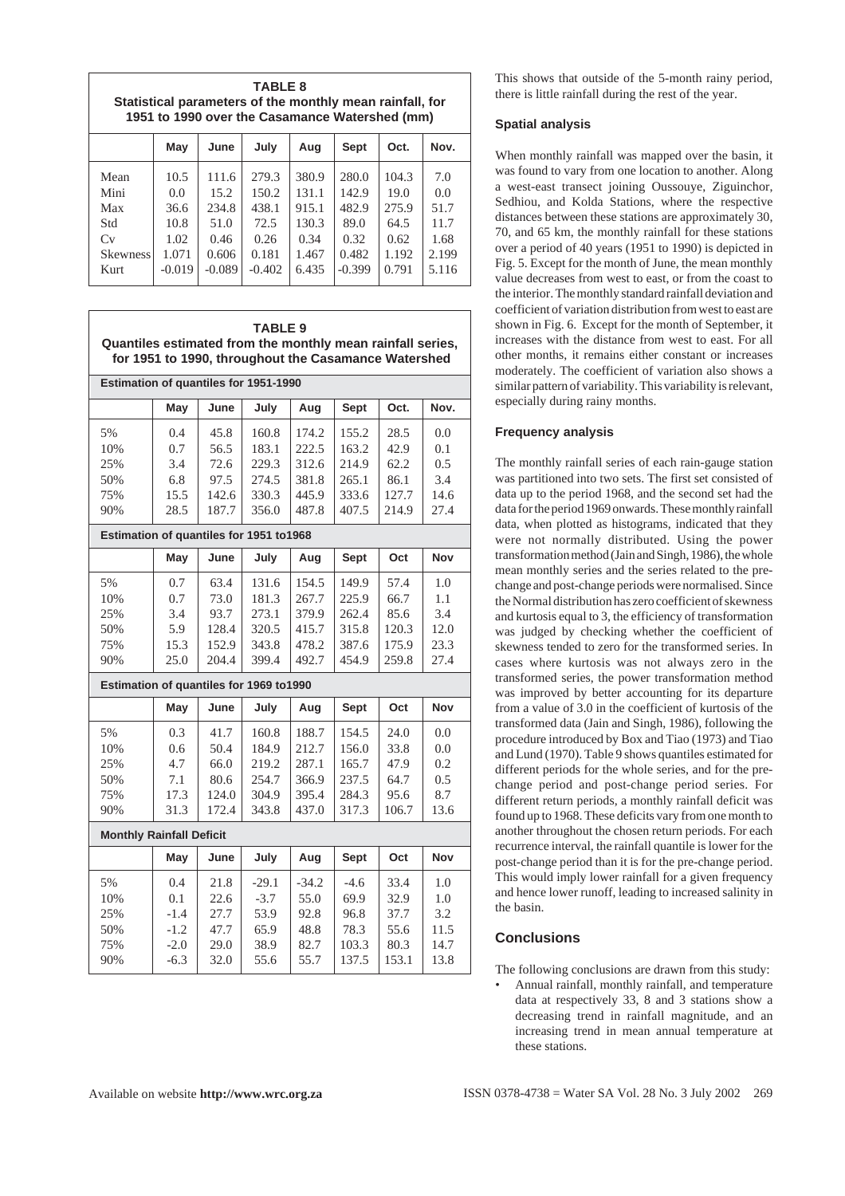**TABLE 8 Statistical parameters of the monthly mean rainfall, for 1951 to 1990 over the Casamance Watershed (mm)**

|                                                             | May                                                      | June                                                        | July                                                         | Aug                                                        | <b>Sept</b>                                                  | Oct.                                                     | Nov.                                                 |
|-------------------------------------------------------------|----------------------------------------------------------|-------------------------------------------------------------|--------------------------------------------------------------|------------------------------------------------------------|--------------------------------------------------------------|----------------------------------------------------------|------------------------------------------------------|
| Mean<br>Mini<br>Max<br>Std<br>Cv<br><b>Skewness</b><br>Kurt | 10.5<br>0.0<br>36.6<br>10.8<br>1.02<br>1.071<br>$-0.019$ | 111.6<br>15.2<br>234.8<br>51.0<br>0.46<br>0.606<br>$-0.089$ | 279.3<br>150.2<br>438.1<br>72.5<br>0.26<br>0.181<br>$-0.402$ | 380.9<br>131.1<br>915.1<br>130.3<br>0.34<br>1.467<br>6.435 | 280.0<br>142.9<br>482.9<br>89.0<br>0.32<br>0.482<br>$-0.399$ | 104.3<br>19.0<br>275.9<br>64.5<br>0.62<br>1.192<br>0.791 | 7.0<br>0.0<br>51.7<br>11.7<br>1.68<br>2.199<br>5.116 |
|                                                             |                                                          |                                                             |                                                              |                                                            |                                                              |                                                          |                                                      |

| Quantiles estimated from the monthly mean rainfall series, |                  |                | <b>TABLE 9</b><br>for 1951 to 1990, throughout the Casamance Watershed |                |                |                |              |
|------------------------------------------------------------|------------------|----------------|------------------------------------------------------------------------|----------------|----------------|----------------|--------------|
| Estimation of quantiles for 1951-1990                      |                  |                |                                                                        |                |                |                |              |
|                                                            | May              | June           | July                                                                   | Aug            | <b>Sept</b>    | Oct.           | Nov.         |
| 5%<br>10%                                                  | 0.4<br>0.7       | 45.8<br>56.5   | 160.8<br>183.1                                                         | 174.2<br>222.5 | 155.2<br>163.2 | 28.5<br>42.9   | 0.0<br>0.1   |
| 25%<br>50%                                                 | 3.4<br>6.8       | 72.6<br>97.5   | 229.3<br>274.5                                                         | 312.6<br>381.8 | 214.9<br>265.1 | 62.2<br>86.1   | 0.5<br>3.4   |
| 75%<br>90%                                                 | 15.5<br>28.5     | 142.6<br>187.7 | 330.3<br>356.0                                                         | 445.9<br>487.8 | 333.6<br>407.5 | 127.7<br>214.9 | 14.6<br>27.4 |
| Estimation of quantiles for 1951 to1968                    |                  |                |                                                                        |                |                |                |              |
|                                                            | May              | June           | July                                                                   | Aug            | <b>Sept</b>    | Oct            | Nov          |
| 5%<br>10%                                                  | 0.7              | 63.4           | 131.6<br>181.3                                                         | 154.5<br>267.7 | 149.9<br>225.9 | 57.4           | 1.0<br>1.1   |
| 25%                                                        | 0.7<br>3.4       | 73.0<br>93.7   | 273.1                                                                  | 379.9          | 262.4          | 66.7<br>85.6   | 3.4          |
| 50%<br>75%                                                 | 5.9<br>15.3      | 128.4<br>152.9 | 320.5<br>343.8                                                         | 415.7<br>478.2 | 315.8<br>387.6 | 120.3<br>175.9 | 12.0<br>23.3 |
| 90%                                                        | 25.0             | 204.4          | 399.4                                                                  | 492.7          | 454.9          | 259.8          | 27.4         |
| Estimation of quantiles for 1969 to1990                    |                  |                |                                                                        |                |                |                |              |
|                                                            | May              | June           | July                                                                   | Aug            | <b>Sept</b>    | Oct            | <b>Nov</b>   |
| 5%<br>10%                                                  | 0.3<br>0.6       | 41.7<br>50.4   | 160.8<br>184.9                                                         | 188.7<br>212.7 | 154.5<br>156.0 | 24.0<br>33.8   | 0.0<br>0.0   |
| 25%<br>50%                                                 | 4.7<br>7.1       | 66.0<br>80.6   | 219.2<br>254.7                                                         | 287.1<br>366.9 | 165.7<br>237.5 | 47.9<br>64.7   | 0.2<br>0.5   |
| 75%<br>90%                                                 | 17.3<br>31.3     | 124.0<br>172.4 | 304.9<br>343.8                                                         | 395.4<br>437.0 | 284.3<br>317.3 | 95.6<br>106.7  | 8.7<br>13.6  |
| <b>Monthly Rainfall Deficit</b>                            |                  |                |                                                                        |                |                |                |              |
|                                                            | May              | June           | July                                                                   | Aug            | <b>Sept</b>    | Oct            | Nov          |
| 5%                                                         | 0.4              | 21.8           | $-29.1$                                                                | $-34.2$        | $-4.6$         | 33.4           | 1.0          |
| 10%<br>25%                                                 | 0.1<br>$-1.4$    | 22.6<br>27.7   | $-3.7$<br>53.9                                                         | 55.0<br>92.8   | 69.9<br>96.8   | 32.9<br>37.7   | 1.0<br>3.2   |
| 50%<br>75%                                                 | $-1.2$<br>$-2.0$ | 47.7<br>29.0   | 65.9<br>38.9                                                           | 48.8<br>82.7   | 78.3<br>103.3  | 55.6<br>80.3   | 11.5<br>14.7 |
| 90%                                                        | $-6.3$           | 32.0           | 55.6                                                                   | 55.7           | 137.5          | 153.1          | 13.8         |

This shows that outside of the 5-month rainy period, there is little rainfall during the rest of the year.

# **Spatial analysis**

When monthly rainfall was mapped over the basin, it was found to vary from one location to another. Along a west-east transect joining Oussouye, Ziguinchor, Sedhiou, and Kolda Stations, where the respective distances between these stations are approximately 30, 70, and 65 km, the monthly rainfall for these stations over a period of 40 years (1951 to 1990) is depicted in Fig. 5. Except for the month of June, the mean monthly value decreases from west to east, or from the coast to the interior. The monthly standard rainfall deviation and coefficient of variation distribution from west to east are shown in Fig. 6. Except for the month of September, it increases with the distance from west to east. For all other months, it remains either constant or increases moderately. The coefficient of variation also shows a similar pattern of variability. This variability is relevant, especially during rainy months.

### **Frequency analysis**

The monthly rainfall series of each rain-gauge station was partitioned into two sets. The first set consisted of data up to the period 1968, and the second set had the data for the period 1969 onwards. These monthly rainfall data, when plotted as histograms, indicated that they were not normally distributed. Using the power transformation method (Jain and Singh, 1986), the whole mean monthly series and the series related to the prechange and post-change periods were normalised. Since the Normal distribution has zero coefficient of skewness and kurtosis equal to 3, the efficiency of transformation was judged by checking whether the coefficient of skewness tended to zero for the transformed series. In cases where kurtosis was not always zero in the transformed series, the power transformation method was improved by better accounting for its departure from a value of 3.0 in the coefficient of kurtosis of the transformed data (Jain and Singh, 1986), following the procedure introduced by Box and Tiao (1973) and Tiao and Lund (1970). Table 9 shows quantiles estimated for different periods for the whole series, and for the prechange period and post-change period series. For different return periods, a monthly rainfall deficit was found up to 1968. These deficits vary from one month to another throughout the chosen return periods. For each recurrence interval, the rainfall quantile is lower for the post-change period than it is for the pre-change period. This would imply lower rainfall for a given frequency and hence lower runoff, leading to increased salinity in the basin.

# **Conclusions**

The following conclusions are drawn from this study:

• Annual rainfall, monthly rainfall, and temperature data at respectively 33, 8 and 3 stations show a decreasing trend in rainfall magnitude, and an increasing trend in mean annual temperature at these stations.